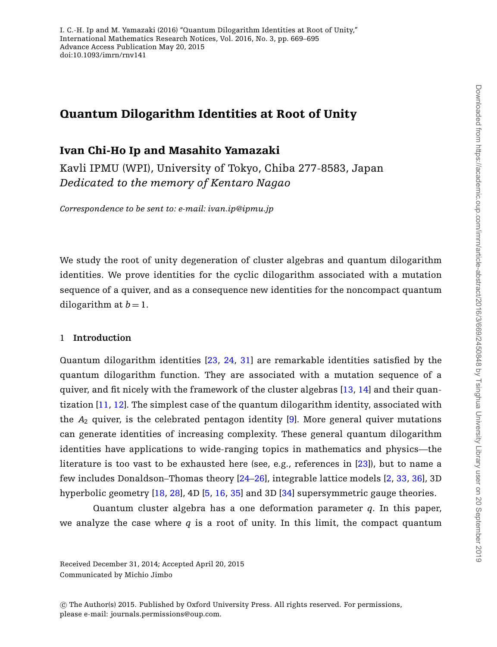# **Quantum Dilogarithm Identities at Root of Unity**

# **Ivan Chi-Ho Ip and Masahito Yamazaki**

Kavli IPMU (WPI), University of Tokyo, Chiba 277-8583, Japan *Dedicated to the memory of Kentaro Nagao*

*Correspondence to be sent to: e-mail: ivan.ip@ipmu.jp*

We study the root of unity degeneration of cluster algebras and quantum dilogarithm identities. We prove identities for the cyclic dilogarithm associated with a mutation sequence of a quiver, and as a consequence new identities for the noncompact quantum dilogarithm at  $b = 1$ .

#### 1 **Introduction**

Quantum dilogarithm identities [\[23,](#page-26-0) [24,](#page-26-1) [31\]](#page-26-2) are remarkable identities satisfied by the quantum dilogarithm function. They are associated with a mutation sequence of a quiver, and fit nicely with the framework of the cluster algebras [\[13,](#page-25-0) [14\]](#page-25-1) and their quantization [\[11,](#page-25-2) [12\]](#page-25-3). The simplest case of the quantum dilogarithm identity, associated with the *A*<sup>2</sup> quiver, is the celebrated pentagon identity [\[9\]](#page-25-4). More general quiver mutations can generate identities of increasing complexity. These general quantum dilogarithm identities have applications to wide-ranging topics in mathematics and physics—the literature is too vast to be exhausted here (see, e.g., references in [\[23\]](#page-26-0)), but to name a few includes Donaldson–Thomas theory [\[24](#page-26-1)[–26\]](#page-26-3), integrable lattice models [\[2,](#page-25-5) [33,](#page-26-4) [36\]](#page-26-5), 3D hyperbolic geometry [\[18,](#page-25-6) [28\]](#page-26-6), 4D [\[5,](#page-25-7) [16,](#page-25-8) [35\]](#page-26-7) and 3D [\[34\]](#page-26-8) supersymmetric gauge theories.

Quantum cluster algebra has a one deformation parameter *q*. In this paper, we analyze the case where *q* is a root of unity. In this limit, the compact quantum

Received December 31, 2014; Accepted April 20, 2015 Communicated by Michio Jimbo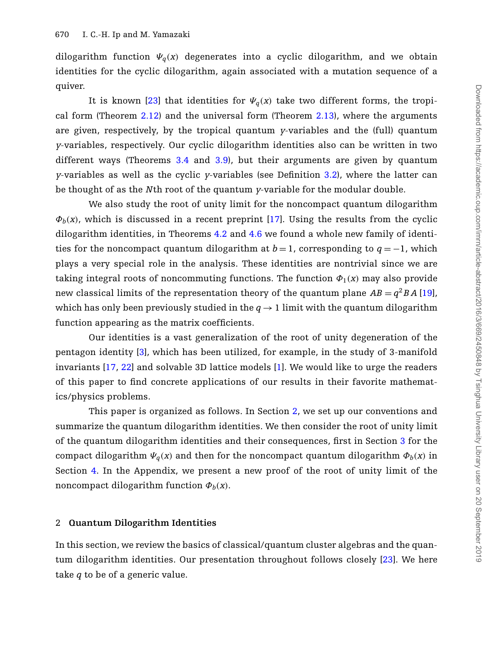dilogarithm function  $\Psi_q(x)$  degenerates into a cyclic dilogarithm, and we obtain identities for the cyclic dilogarithm, again associated with a mutation sequence of a quiver.

It is known [\[23\]](#page-26-0) that identities for  $\Psi_q(x)$  take two different forms, the tropical form (Theorem [2.12\)](#page-4-0) and the universal form (Theorem [2.13\)](#page-5-0), where the arguments are given, respectively, by the tropical quantum *y*-variables and the (full) quantum *y*-variables, respectively. Our cyclic dilogarithm identities also can be written in two different ways (Theorems [3.4](#page-12-0) and [3.9\)](#page-15-0), but their arguments are given by quantum *y*-variables as well as the cyclic *y*-variables (see Definition [3.2\)](#page-12-1), where the latter can be thought of as the *N*th root of the quantum *y*-variable for the modular double.

We also study the root of unity limit for the noncompact quantum dilogarithm  $\Phi_b(x)$ , which is discussed in a recent preprint [\[17\]](#page-25-9). Using the results from the cyclic dilogarithm identities, in Theorems [4.2](#page-20-0) and [4.6](#page-21-0) we found a whole new family of identities for the noncompact quantum dilogarithm at  $b = 1$ , corresponding to  $q = -1$ , which plays a very special role in the analysis. These identities are nontrivial since we are taking integral roots of noncommuting functions. The function  $\Phi_1(x)$  may also provide new classical limits of the representation theory of the quantum plane  $AB = q^2 BA$  [\[19\]](#page-25-10), which has only been previously studied in the  $q \rightarrow 1$  limit with the quantum dilogarithm function appearing as the matrix coefficients.

Our identities is a vast generalization of the root of unity degeneration of the pentagon identity [\[3\]](#page-25-11), which has been utilized, for example, in the study of 3-manifold invariants [\[17,](#page-25-9) [22\]](#page-26-9) and solvable 3D lattice models [\[1\]](#page-24-0). We would like to urge the readers of this paper to find concrete applications of our results in their favorite mathematics/physics problems.

This paper is organized as follows. In Section [2,](#page-1-0) we set up our conventions and summarize the quantum dilogarithm identities. We then consider the root of unity limit of the quantum dilogarithm identities and their consequences, first in Section [3](#page-11-0) for the compact dilogarithm  $\Psi_q(x)$  and then for the noncompact quantum dilogarithm  $\Phi_b(x)$  in Section [4.](#page-18-0) In the Appendix, we present a new proof of the root of unity limit of the noncompact dilogarithm function  $\Phi_b(x)$ .

### <span id="page-1-0"></span>2 **Quantum Dilogarithm Identities**

In this section, we review the basics of classical/quantum cluster algebras and the quantum dilogarithm identities. Our presentation throughout follows closely [\[23\]](#page-26-0). We here take *q* to be of a generic value.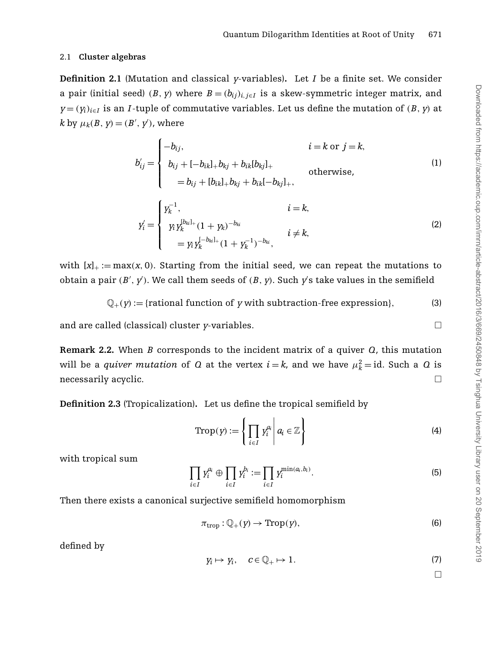### 2.1 **Cluster algebras**

**Definition 2.1** (Mutation and classical *y*-variables)**.** Let *I* be a finite set. We consider a pair (initial seed) (*B*, *y*) where  $B = (b_{ij})$ ,  $i \in I$  is a skew-symmetric integer matrix, and  $y = (y_i)_{i \in I}$  is an *I*-tuple of commutative variables. Let us define the mutation of  $(B, y)$  at  $k$  by  $\mu_k(B, y) = (B', y')$ , where

$$
b'_{ij} = \begin{cases}\n-b_{ij}, & i = k \text{ or } j = k, \\
b_{ij} + [-b_{ik}]_+ b_{kj} + b_{ik}[b_{kj}]_+ & \text{otherwise,} \\
= b_{ij} + [b_{ik}]_+ b_{kj} + b_{ik}[-b_{kj}]_+, & \\
i = k, \\
y'_i = \begin{cases}\ny_k^{-1}, & i = k, \\
y_i y_k^{[b_{ki}]_+} (1 + y_k)^{-b_{ki}} & i \neq k, \\
= y_i y_k^{[-b_{ki}]_+} (1 + y_k^{-1})^{-b_{ki}}, & i \neq k,\n\end{cases}\n\end{cases}
$$
\n(1)

with  $[x]_+ := \max(x, 0)$ . Starting from the initial seed, we can repeat the mutations to obtain a pair  $(B', y')$ . We call them seeds of  $(B, y)$ . Such  $y'$ s take values in the semifield

$$
\mathbb{Q}_+(y) := \{ \text{rational function of } y \text{ with subtraction-free expression} \},\tag{3}
$$

and are called (classical) cluster *y*-variables.  $\Box$ 

**Remark 2.2.** When *B* corresponds to the incident matrix of a quiver *Q*, this mutation will be a *quiver mutation* of  $Q$  at the vertex  $i = k$ , and we have  $\mu_k^2 = id$ . Such a  $Q$  is necessarily acyclic.  $\Box$ 

**Definition 2.3** (Tropicalization)**.** Let us define the tropical semifield by

$$
\operatorname{Trop}(y) := \left\{ \prod_{i \in I} y_i^{a_i} \middle| a_i \in \mathbb{Z} \right\} \tag{4}
$$

with tropical sum

$$
\prod_{i \in I} y_i^{a_i} \oplus \prod_{i \in I} y_i^{b_i} := \prod_{i \in I} y_i^{\min(a_i, b_i)}.
$$
\n
$$
(5)
$$

Then there exists a canonical surjective semifield homomorphism

$$
\pi_{\text{trop}}: \mathbb{Q}_+(y) \to \text{Trop}(y),\tag{6}
$$

defined by

$$
y_i \mapsto y_i, \quad c \in \mathbb{Q}_+ \mapsto 1. \tag{7}
$$

<span id="page-2-0"></span>

 $\Box$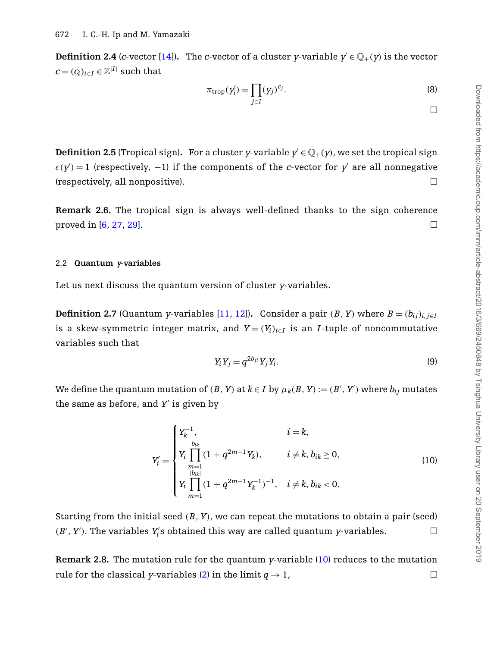**Definition 2.4** (*c*-vector [\[14\]](#page-25-1)). The *c*-vector of a cluster *y*-variable  $y' \in \mathbb{Q}_+(y)$  is the vector  $c = (c_i)_{i \in I} \in \mathbb{Z}^{|I|}$  such that

$$
\pi_{\text{trop}}(y_i') = \prod_{j \in I} (y_j)^{c_j}.
$$
\n(8)

**Definition 2.5** (Tropical sign). For a cluster *y*-variable  $y' \in \mathbb{Q}_+(y)$ , we set the tropical sign  $\epsilon(y') = 1$  (respectively, -1) if the components of the *c*-vector for y' are all nonnegative (respectively, all nonpositive).  $\Box$ 

**Remark 2.6.** The tropical sign is always well-defined thanks to the sign coherence proved in [\[6,](#page-25-12) [27,](#page-26-10) [29\]](#page-26-11).

#### 2.2 **Quantum <sup>y</sup>-variables**

<span id="page-3-1"></span>Let us next discuss the quantum version of cluster *y*-variables.

**Definition 2.7** (Quantum *y*-variables [\[11,](#page-25-2) [12\]](#page-25-3)). Consider a pair  $(B, Y)$  where  $B = (b_{ij})_{i,j \in I}$ is a skew-symmetric integer matrix, and  $Y = (Y_i)_{i \in I}$  is an *I*-tuple of noncommutative variables such that

<span id="page-3-2"></span>
$$
Y_i Y_j = q^{2b_{ji}} Y_j Y_i. \tag{9}
$$

We define the quantum mutation of  $(B, Y)$  at  $k \in I$  by  $\mu_k(B, Y) := (B', Y')$  where  $b_{ij}$  mutates the same as before, and *Y* is given by

<span id="page-3-0"></span>
$$
Y'_{i} = \begin{cases} Y_{k}^{-1}, & i = k, \\ Y_{i} \prod_{\substack{b_{ik} \\ m=1}}^{b_{ik}} (1 + q^{2m-1} Y_{k}), & i \neq k, b_{ik} \geq 0, \\ Y_{i} \prod_{m=1}^{b_{ik}} (1 + q^{2m-1} Y_{k}^{-1})^{-1}, & i \neq k, b_{ik} < 0. \end{cases}
$$
(10)

Starting from the initial seed (*B*, *Y*), we can repeat the mutations to obtain a pair (seed)  $(B', Y')$ . The variables  $Y'_i$ s obtained this way are called quantum *y*-variables.

**Remark 2.8.** The mutation rule for the quantum *y*-variable [\(10\)](#page-3-0) reduces to the mutation rule for the classical *y*-variables [\(2\)](#page-2-0) in the limit  $q \to 1$ ,  $\Box$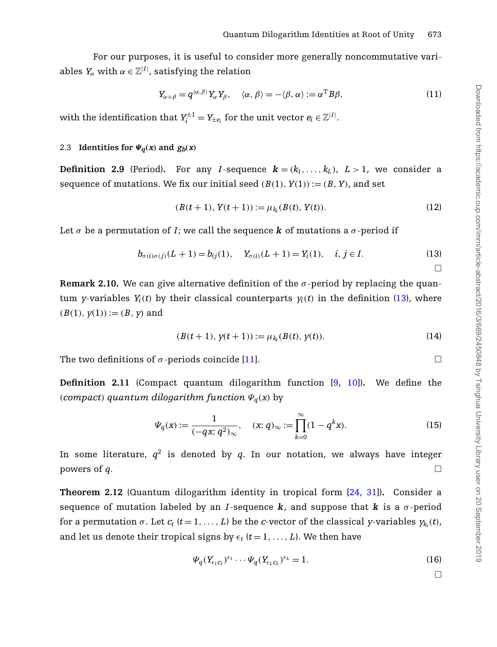For our purposes, it is useful to consider more generally noncommutative variables  $Y_\alpha$  with  $\alpha \in \mathbb{Z}^{|I|}$ , satisfying the relation

<span id="page-4-2"></span>
$$
Y_{\alpha+\beta} = q^{\langle \alpha,\beta \rangle} Y_{\alpha} Y_{\beta}, \quad \langle \alpha,\beta \rangle = -\langle \beta,\alpha \rangle := \alpha^{\mathrm{T}} B \beta, \tag{11}
$$

with the identification that  $Y_i^{\pm 1} = Y_{\pm e_i}$  for the unit vector  $e_i \in \mathbb{Z}^{|I|}$ .

### 2.3 **Identities for**  $\Psi_{\alpha}(x)$  and  $g_{b}(x)$

**Definition 2.9** (Period). For any *I*-sequence  $\mathbf{k} = (k_1, \ldots, k_L)$ ,  $L > 1$ , we consider a sequence of mutations. We fix our initial seed  $(B(1), Y(1)) := (B, Y)$ , and set

$$
(B(t+1), Y(t+1)) := \mu_{k_t}(B(t), Y(t)).
$$
\n(12)

Let  $\sigma$  be a permutation of *I*; we call the sequence **k** of mutations a  $\sigma$ -period if

<span id="page-4-1"></span>
$$
b_{\sigma(i)\sigma(j)}(L+1) = b_{ij}(1), \quad Y_{\sigma(i)}(L+1) = Y_i(1), \quad i, j \in I.
$$
 (13)

**Remark 2.10.** We can give alternative definition of the  $\sigma$ -period by replacing the quantum *y*-variables  $Y_i(t)$  by their classical counterparts  $y_i(t)$  in the definition [\(13\)](#page-4-1), where  $(B(1), y(1)) := (B, y)$  and

$$
(B(t+1), y(t+1)) := \mu_{k_t}(B(t), y(t)).
$$
\n(14)

The two definitions of  $\sigma$ -periods coincide [\[11\]](#page-25-2).  $\Box$ 

**Definition 2.11** (Compact quantum dilogarithm function [\[9,](#page-25-4) [10\]](#page-25-13))**.** We define the (*compact*) *quantum dilogarithm function*  $\Psi_q(x)$  by

$$
\Psi_q(x) := \frac{1}{(-qx; q^2)_{\infty}}, \quad (x; q)_{\infty} := \prod_{k=0}^{\infty} (1 - q^k x). \tag{15}
$$

In some literature,  $q^2$  is denoted by q. In our notation, we always have integer powers of *q*.  $\Box$ 

<span id="page-4-0"></span>**Theorem 2.12** (Quantum dilogarithm identity in tropical form [\[24,](#page-26-1) [31\]](#page-26-2))**.** Consider a sequence of mutation labeled by an *I*-sequence  $\bf{k}$ , and suppose that  $\bf{k}$  is a  $\sigma$ -period for a permutation  $\sigma$ . Let  $c_t$   $(t = 1, ..., L)$  be the *c*-vector of the classical *y*-variables  $y_k(t)$ , and let us denote their tropical signs by  $\epsilon_t$  ( $t = 1, \ldots, L$ ). We then have

<span id="page-4-3"></span>
$$
\Psi_q(Y_{\epsilon_1 c_1})^{\epsilon_1} \cdots \Psi_q(Y_{\epsilon_L c_L})^{\epsilon_L} = 1.
$$
\n(16)

 $\Box$ 

 $\Box$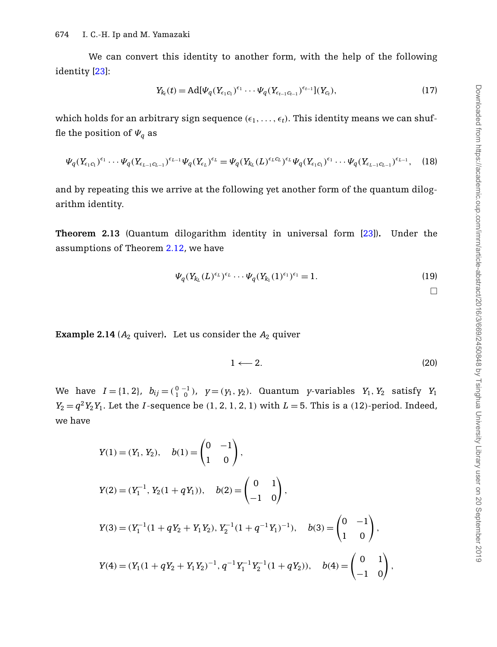We can convert this identity to another form, with the help of the following identity [\[23\]](#page-26-0):

<span id="page-5-1"></span>
$$
Y_{k_t}(t) = \text{Ad}[\Psi_q(Y_{\epsilon_1 c_1})^{\epsilon_1} \cdots \Psi_q(Y_{\epsilon_{t-1} c_{t-1}})^{\epsilon_{t-1}}](Y_{c_t}),
$$
\n(17)

which holds for an arbitrary sign sequence  $(\epsilon_1,\ldots,\epsilon_t)$ . This identity means we can shuffle the position of  $\Psi_q$  as

$$
\Psi_q(Y_{\epsilon_1 c_1})^{\epsilon_1} \cdots \Psi_q(Y_{\epsilon_{L-1} c_{L-1}})^{\epsilon_{L-1}} \Psi_q(Y_{\epsilon_L})^{\epsilon_L} = \Psi_q(Y_{k_L} (L)^{\epsilon_L c_L})^{\epsilon_L} \Psi_q(Y_{\epsilon_1 c_1})^{\epsilon_1} \cdots \Psi_q(Y_{\epsilon_{L-1} c_{L-1}})^{\epsilon_{L-1}},
$$
 (18)

<span id="page-5-0"></span>and by repeating this we arrive at the following yet another form of the quantum dilogarithm identity.

**Theorem 2.13** (Quantum dilogarithm identity in universal form [\[23\]](#page-26-0))**.** Under the assumptions of Theorem [2.12,](#page-4-0) we have

$$
\Psi_q(Y_{k_L}(L)^{\epsilon_L})^{\epsilon_L} \cdots \Psi_q(Y_{k_1}(1)^{\epsilon_1})^{\epsilon_1} = 1.
$$
\n(19)

<span id="page-5-2"></span> $\Box$ 

<span id="page-5-3"></span>**Example 2.14** ( $A_2$  quiver). Let us consider the  $A_2$  quiver

$$
1 \longleftarrow 2. \tag{20}
$$

We have  $I = \{1, 2\}$ ,  $b_{ij} = \begin{pmatrix} 0 & -1 \\ 1 & 0 \end{pmatrix}$ ,  $y = (y_1, y_2)$ . Quantum *y*-variables  $Y_1, Y_2$  satisfy  $Y_1$  $Y_2 = q^2 Y_2 Y_1$ . Let the *I*-sequence be (1, 2, 1, 2, 1) with  $L = 5$ . This is a (12)-period. Indeed, we have

$$
Y(1) = (Y_1, Y_2), \quad b(1) = \begin{pmatrix} 0 & -1 \\ 1 & 0 \end{pmatrix},
$$
  
\n
$$
Y(2) = (Y_1^{-1}, Y_2(1 + qY_1)), \quad b(2) = \begin{pmatrix} 0 & 1 \\ -1 & 0 \end{pmatrix},
$$
  
\n
$$
Y(3) = (Y_1^{-1}(1 + qY_2 + Y_1Y_2), Y_2^{-1}(1 + q^{-1}Y_1)^{-1}), \quad b(3) = \begin{pmatrix} 0 & -1 \\ 1 & 0 \end{pmatrix},
$$
  
\n
$$
Y(4) = (Y_1(1 + qY_2 + Y_1Y_2)^{-1}, q^{-1}Y_1^{-1}Y_2^{-1}(1 + qY_2)), \quad b(4) = \begin{pmatrix} 0 & 1 \\ -1 & 0 \end{pmatrix},
$$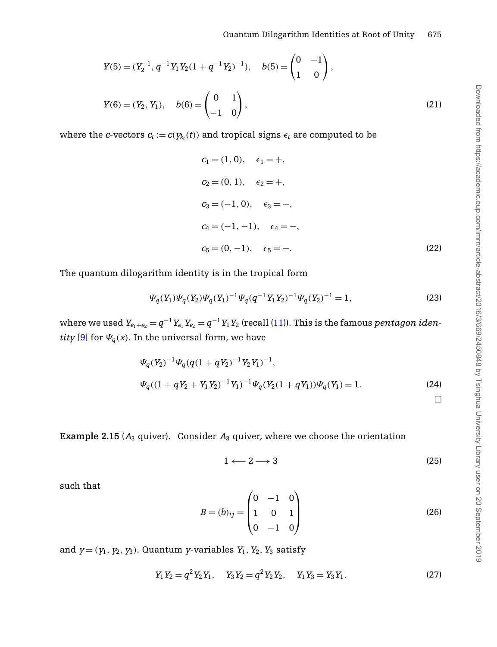$$
Y(5) = (Y_2^{-1}, q^{-1}Y_1Y_2(1+q^{-1}Y_2)^{-1}), \quad b(5) = \begin{pmatrix} 0 & -1 \\ 1 & 0 \end{pmatrix},
$$
  
\n
$$
Y(6) = (Y_2, Y_1), \quad b(6) = \begin{pmatrix} 0 & 1 \\ -1 & 0 \end{pmatrix},
$$
\n(21)

where the *c*-vectors  $c_t := c(y_k(t))$  and tropical signs  $\epsilon_t$  are computed to be

$$
c_1 = (1, 0), \quad \epsilon_1 = +,
$$
  
\n
$$
c_2 = (0, 1), \quad \epsilon_2 = +,
$$
  
\n
$$
c_3 = (-1, 0), \quad \epsilon_3 = -,
$$
  
\n
$$
c_4 = (-1, -1), \quad \epsilon_4 = -,
$$
  
\n
$$
c_5 = (0, -1), \quad \epsilon_5 = -.
$$
\n(22)

The quantum dilogarithm identity is in the tropical form

<span id="page-6-0"></span>
$$
\Psi_q(Y_1)\Psi_q(Y_2)\Psi_q(Y_1)^{-1}\Psi_q(q^{-1}Y_1Y_2)^{-1}\Psi_q(Y_2)^{-1} = 1,
$$
\n(23)

where we used  $Y_{e_1+e_2} = q^{-1}Y_{e_1}Y_{e_2} = q^{-1}Y_1Y_2$  (recall [\(11\)](#page-4-2)). This is the famous *pentagon identity* [\[9\]](#page-25-4) for  $\Psi_q(x)$ . In the universal form, we have

$$
\Psi_q(Y_2)^{-1}\Psi_q(q(1+qY_2)^{-1}Y_2Y_1)^{-1},
$$
  
\n
$$
\Psi_q((1+qY_2+Y_1Y_2)^{-1}Y_1)^{-1}\Psi_q(Y_2(1+qY_1))\Psi_q(Y_1) = 1.
$$
\n(24)

<span id="page-6-1"></span>**Example 2.15** ( $A_3$  quiver). Consider  $A_3$  quiver, where we choose the orientation

$$
1 \longleftarrow 2 \longrightarrow 3 \tag{25}
$$

such that

$$
B = (b)_{ij} = \begin{pmatrix} 0 & -1 & 0 \\ 1 & 0 & 1 \\ 0 & -1 & 0 \end{pmatrix}
$$
 (26)

and  $y = (y_1, y_2, y_3)$ . Quantum *y*-variables  $Y_1, Y_2, Y_3$  satisfy

$$
Y_1 Y_2 = q^2 Y_2 Y_1, \quad Y_3 Y_2 = q^2 Y_2 Y_2, \quad Y_1 Y_3 = Y_3 Y_1. \tag{27}
$$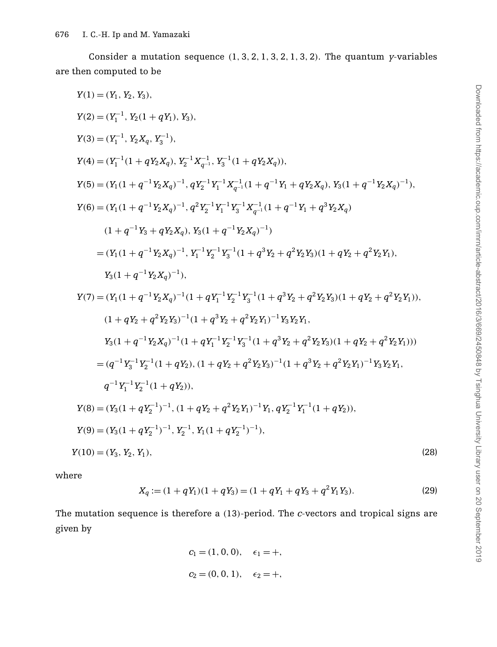Consider a mutation sequence (1, 3, 2, 1, 3, 2, 1, 3, 2). The quantum *y*-variables are then computed to be

$$
Y(1) = (Y_1, Y_2, Y_3),
$$
  
\n
$$
Y(2) = (Y_1^{-1}, Y_2(1 + qY_1), Y_3),
$$
  
\n
$$
Y(3) = (Y_1^{-1}, Y_2X_q, Y_3^{-1}),
$$
  
\n
$$
Y(4) = (Y_1^{-1}(1 + qY_2X_q), Y_2^{-1}X_{q-1}^{-1}, Y_3^{-1}(1 + qY_2X_q)),
$$
  
\n
$$
Y(5) = (Y_1(1 + q^{-1}Y_2X_q)^{-1}, qY_2^{-1}Y_1^{-1}X_{q-1}^{-1}(1 + q^{-1}Y_1 + qY_2X_q), Y_3(1 + q^{-1}Y_2X_q)^{-1}),
$$
  
\n
$$
Y(6) = (Y_1(1 + q^{-1}Y_2X_q)^{-1}, q^2Y_2^{-1}Y_1^{-1}Y_3^{-1}X_{q-1}^{-1}(1 + q^{-1}Y_1 + q^3Y_2X_q)
$$
  
\n
$$
(1 + q^{-1}Y_3 + qY_2X_q), Y_3(1 + q^{-1}Y_2X_q)^{-1})
$$
  
\n
$$
= (Y_1(1 + q^{-1}Y_2X_q)^{-1}, Y_1^{-1}Y_2^{-1}Y_3^{-1}(1 + q^3Y_2 + q^2Y_2Y_3)(1 + qY_2 + q^2Y_2Y_1),
$$
  
\n
$$
Y_3(1 + q^{-1}Y_2X_q)^{-1}),
$$
  
\n
$$
Y(7) = (Y_1(1 + q^{-1}Y_2X_q)^{-1}(1 + qY_1^{-1}Y_2^{-1}Y_3^{-1}(1 + q^3Y_2 + q^2Y_2Y_3)(1 + qY_2 + q^2Y_2Y_1)),
$$
  
\n
$$
(1 + qY_2 + q^2Y_2Y_3)^{-1}(1 + q^3Y_2 + q^2Y_2Y_1)^{-1}Y_3Y_2Y_1,
$$
  
\n
$$
Y_3(1 + q^{-1}Y_2X_q)^{-1}(1 + q^3Y_2 + q^2Y_2Y_1)^{-1}Y_3Y_2Y_1,
$$
  
\n
$$
Y_3(1 + q^{-1}Y_2Y_3)^{-1}(1 + q^3Y
$$

where

<span id="page-7-0"></span>
$$
X_q := (1 + qY_1)(1 + qY_3) = (1 + qY_1 + qY_3 + q^2Y_1Y_3).
$$
\n(29)

The mutation sequence is therefore a (13)-period. The *c*-vectors and tropical signs are given by

$$
c_1 = (1, 0, 0), \quad \epsilon_1 = +,
$$
  
\n $c_2 = (0, 0, 1), \quad \epsilon_2 = +,$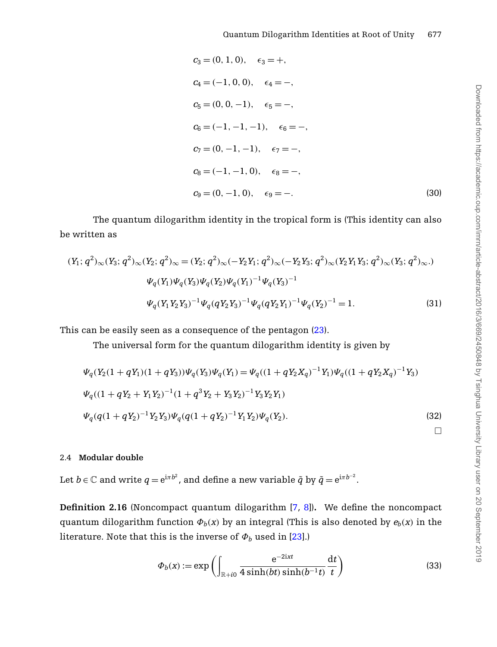$$
c_3 = (0, 1, 0), \quad \epsilon_3 = +,
$$
  
\n
$$
c_4 = (-1, 0, 0), \quad \epsilon_4 = -,
$$
  
\n
$$
c_5 = (0, 0, -1), \quad \epsilon_5 = -,
$$
  
\n
$$
c_6 = (-1, -1, -1), \quad \epsilon_6 = -,
$$
  
\n
$$
c_7 = (0, -1, -1), \quad \epsilon_7 = -,
$$
  
\n
$$
c_8 = (-1, -1, 0), \quad \epsilon_8 = -,
$$
  
\n
$$
c_9 = (0, -1, 0), \quad \epsilon_9 = -.
$$
\n(30)

The quantum dilogarithm identity in the tropical form is (This identity can also be written as

$$
(Y_1; q^2)_{\infty}(Y_3; q^2)_{\infty}(Y_2; q^2)_{\infty} = (Y_2; q^2)_{\infty}(-Y_2Y_1; q^2)_{\infty}(-Y_2Y_3; q^2)_{\infty}(Y_2Y_1Y_3; q^2)_{\infty}(Y_3; q^2)_{\infty})
$$
  
\n
$$
\Psi_q(Y_1)\Psi_q(Y_3)\Psi_q(Y_2)\Psi_q(Y_1)^{-1}\Psi_q(Y_3)^{-1}
$$
  
\n
$$
\Psi_q(Y_1Y_2Y_3)^{-1}\Psi_q(qY_2Y_3)^{-1}\Psi_q(qY_2Y_1)^{-1}\Psi_q(Y_2)^{-1} = 1.
$$
\n(31)

This can be easily seen as a consequence of the pentagon [\(23\)](#page-6-0).

The universal form for the quantum dilogarithm identity is given by

$$
\Psi_q(Y_2(1+qY_1)(1+qY_3))\Psi_q(Y_3)\Psi_q(Y_1) = \Psi_q((1+qY_2X_q)^{-1}Y_1)\Psi_q((1+qY_2X_q)^{-1}Y_3)
$$
  
\n
$$
\Psi_q((1+qY_2+Y_1Y_2)^{-1}(1+q^3Y_2+Y_3Y_2)^{-1}Y_3Y_2Y_1)
$$
  
\n
$$
\Psi_q(q(1+qY_2)^{-1}Y_2Y_3)\Psi_q(q(1+qY_2)^{-1}Y_1Y_2)\Psi_q(Y_2).
$$
\n(32)

# 2.4 **Modular double**

Let  $b\in\mathbb{C}$  and write  $q=\mathrm{e}^{\mathrm{i}\pi b^{2}}$ , and define a new variable  $\tilde{q}$  by  $\tilde{q}=\mathrm{e}^{\mathrm{i}\pi b^{-2}}.$ 

**Definition 2.16** (Noncompact quantum dilogarithm [\[7,](#page-25-14) [8\]](#page-25-15))**.** We define the noncompact quantum dilogarithm function  $\Phi_b(x)$  by an integral (This is also denoted by  $e_b(x)$  in the literature. Note that this is the inverse of  $\Phi_b$  used in [\[23\]](#page-26-0).)

$$
\Phi_b(x) := \exp\left(\int_{\mathbb{R}+i0} \frac{e^{-2ixt}}{4\sinh(bt)\sinh(b^{-1}t)}\frac{dt}{t}\right)
$$
\n(33)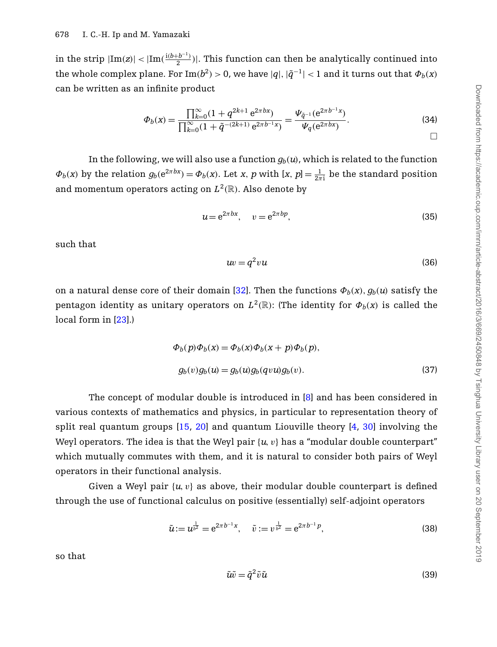in the strip  $|{\rm Im}(z)| < |{\rm Im}(\frac{{\rm i}(b+b^{-1})}{2})|.$  This function can then be analytically continued into the whole complex plane. For  $\text{Im}(b^2) > 0$ , we have  $|q|, |\tilde{q}^{-1}| < 1$  and it turns out that  $\Phi_b(x)$ can be written as an infinite product

$$
\Phi_b(x) = \frac{\prod_{k=0}^{\infty} (1 + q^{2k+1} e^{2\pi bx})}{\prod_{k=0}^{\infty} (1 + \tilde{q}^{-(2k+1)} e^{2\pi b^{-1}x})} = \frac{\Psi_{\tilde{q}^{-1}}(e^{2\pi b^{-1}x})}{\Psi_q(e^{2\pi bx})}.
$$
\n(34)

In the following, we will also use a function  $g_b(u)$ , which is related to the function  $\Phi_b(x)$  by the relation  $g_b(e^{2\pi bx}) = \Phi_b(x)$ . Let *x*, *p* with [*x*, *p*] =  $\frac{1}{2\pi i}$  be the standard position and momentum operators acting on  $L^2(\mathbb{R})$ . Also denote by

$$
u = e^{2\pi bx}, \quad v = e^{2\pi bp}, \tag{35}
$$

such that

$$
uv = q^2 vu \tag{36}
$$

on a natural dense core of their domain [\[32\]](#page-26-12). Then the functions  $\Phi_b(x)$ ,  $q_b(u)$  satisfy the pentagon identity as unitary operators on  $L^2(\mathbb{R})$ : (The identity for  $\Phi_b(x)$  is called the local form in [\[23\]](#page-26-0).)

$$
\Phi_b(p)\Phi_b(x) = \Phi_b(x)\Phi_b(x+p)\Phi_b(p),
$$
  

$$
g_b(v)g_b(u) = g_b(u)g_b(qvu)g_b(v).
$$
 (37)

The concept of modular double is introduced in [\[8\]](#page-25-15) and has been considered in various contexts of mathematics and physics, in particular to representation theory of split real quantum groups  $[15, 20]$  $[15, 20]$  $[15, 20]$  and quantum Liouville theory  $[4, 30]$  $[4, 30]$  $[4, 30]$  involving the Weyl operators. The idea is that the Weyl pair  $\{u, v\}$  has a "modular double counterpart" which mutually commutes with them, and it is natural to consider both pairs of Weyl operators in their functional analysis.

Given a Weyl pair  $\{u, v\}$  as above, their modular double counterpart is defined through the use of functional calculus on positive (essentially) self-adjoint operators

$$
\tilde{u} := u^{\frac{1}{b^2}} = e^{2\pi b^{-1}x}, \quad \tilde{v} := v^{\frac{1}{b^2}} = e^{2\pi b^{-1}p}, \tag{38}
$$

so that

$$
\tilde{u}\tilde{v} = \tilde{q}^2 \tilde{v}\tilde{u} \tag{39}
$$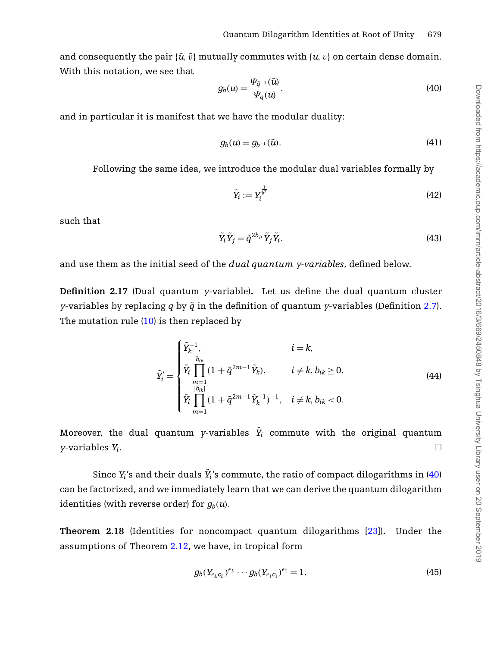and consequently the pair  $\{\tilde{u}, \tilde{v}\}$  mutually commutes with  $\{u, v\}$  on certain dense domain. With this notation, we see that

<span id="page-10-0"></span>
$$
g_b(u) = \frac{\Psi_{\tilde{q}^{-1}}(\tilde{u})}{\Psi_q(u)},\tag{40}
$$

and in particular it is manifest that we have the modular duality:

$$
g_b(u) = g_{b^{-1}}(\tilde{u}).\tag{41}
$$

Following the same idea, we introduce the modular dual variables formally by

$$
\tilde{Y}_i := Y_i^{\frac{1}{b^2}} \tag{42}
$$

such that

$$
\tilde{Y}_i \tilde{Y}_j = \tilde{q}^{2b_{ji}} \tilde{Y}_j \tilde{Y}_i.
$$
\n(43)

and use them as the initial seed of the *dual quantum y-variables*, defined below.

**Definition 2.17** (Dual quantum *y*-variable)**.** Let us define the dual quantum cluster *y*-variables by replacing *q* by  $\tilde{q}$  in the definition of quantum *y*-variables (Definition [2.7\)](#page-3-1). The mutation rule  $(10)$  is then replaced by

<span id="page-10-1"></span>
$$
\tilde{Y}'_i = \begin{cases}\n\tilde{Y}_k^{-1}, & i = k, \\
\tilde{Y}_i \prod_{\substack{b_{ik} \\ |b_{ik}| \\ |b_{ik}|}} (1 + \tilde{q}^{2m-1} \tilde{Y}_k), & i \neq k, b_{ik} \ge 0, \\
\tilde{Y}_i \prod_{m=1}^{|b_{ik}|} (1 + \tilde{q}^{2m-1} \tilde{Y}_k^{-1})^{-1}, & i \neq k, b_{ik} < 0.\n\end{cases} \tag{44}
$$

Moreover, the dual quantum *y*-variables  $\tilde{Y}_i$  commute with the original quantum *y*-variables *Yi*. - $\Box$ 

Since  $Y_i$ 's and their duals  $\tilde{Y}_i$ 's commute, the ratio of compact dilogarithms in [\(40\)](#page-10-0) can be factorized, and we immediately learn that we can derive the quantum dilogarithm identities (with reverse order) for  $q_b(u)$ .

**Theorem 2.18** (Identities for noncompact quantum dilogarithms [\[23\]](#page-26-0))**.** Under the assumptions of Theorem [2.12,](#page-4-0) we have, in tropical form

$$
g_b(Y_{\epsilon_L C_L})^{\epsilon_L} \cdots g_b(Y_{\epsilon_1 C_1})^{\epsilon_1} = 1, \qquad (45)
$$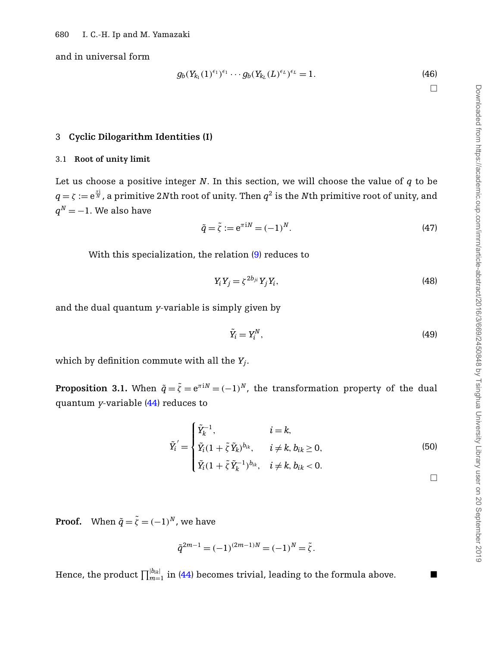and in universal form

$$
g_b(Y_{k_1}(1)^{\epsilon_1})^{\epsilon_1}\cdots g_b(Y_{k_L}(L)^{\epsilon_L})^{\epsilon_L}=1.
$$
\n(46)

 $\Box$ 

# <span id="page-11-0"></span>3 **Cyclic Dilogarithm Identities (I)**

#### 3.1 **Root of unity limit**

Let us choose a positive integer *N*. In this section, we will choose the value of *q* to be  $q=\zeta:=\mathrm{e}^{\frac{\pi\mathrm{i}}{N}}$ , a primitive 2 $N$ th root of unity. Then  $q^2$  is the  $N$ th primitive root of unity, and  $q^N = -1$ . We also have

$$
\tilde{q} = \tilde{\zeta} := e^{\pi i N} = (-1)^N. \tag{47}
$$

With this specialization, the relation [\(9\)](#page-3-2) reduces to

<span id="page-11-1"></span>
$$
Y_i Y_j = \zeta^{2b_{ji}} Y_j Y_i, \tag{48}
$$

and the dual quantum *y*-variable is simply given by

$$
\tilde{Y}_i = Y_i^N,\tag{49}
$$

which by definition commute with all the *Yj*.

**Proposition 3.1.** When  $\tilde{q} = \tilde{\zeta} = e^{\pi i N} = (-1)^N$ , the transformation property of the dual quantum *y*-variable [\(44\)](#page-10-1) reduces to

<span id="page-11-2"></span>
$$
\tilde{Y}_i = \begin{cases}\n\tilde{Y}_k^{-1}, & i = k, \\
\tilde{Y}_i(1 + \tilde{\zeta}\tilde{Y}_k)^{b_{ik}}, & i \neq k, b_{ik} \ge 0, \\
\tilde{Y}_i(1 + \tilde{\zeta}\tilde{Y}_k^{-1})^{b_{ik}}, & i \neq k, b_{ik} < 0.\n\end{cases}
$$
\n
$$
(50)
$$

**Proof.** When  $\tilde{q} = \tilde{\zeta} = (-1)^N$ , we have

$$
\tilde{q}^{2m-1} = (-1)^{(2m-1)N} = (-1)^N = \tilde{\zeta}.
$$

Hence, the product  $\prod_{m=1}^{|b_{lk}|}$  in [\(44\)](#page-10-1) becomes trivial, leading to the formula above.  $\qquad \blacksquare$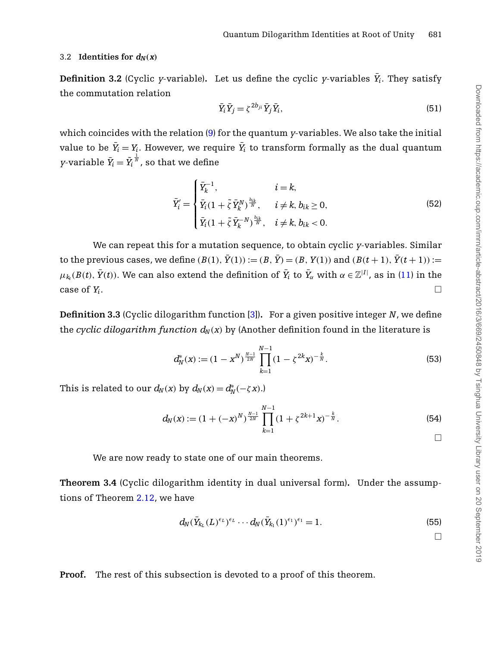### <span id="page-12-1"></span>3.2 **Identities for**  $d_N(x)$

**Definition 3.2** (Cyclic *y*-variable). Let us define the cyclic *y*-variables  $\bar{Y}_i$ . They satisfy the commutation relation

$$
\bar{Y}_i \bar{Y}_j = \zeta^{2b_{ji}} \bar{Y}_j \bar{Y}_i,\tag{51}
$$

which coincides with the relation [\(9\)](#page-3-2) for the quantum *y*-variables. We also take the initial value to be  $\bar{Y}_i = Y_i.$  However, we require  $\bar{Y}_i$  to transform formally as the dual quantum *y*-variable  $\bar{Y}_i = \tilde{Y}_i$  $\frac{1}{N}$ , so that we define

<span id="page-12-3"></span>
$$
\bar{Y}'_i = \begin{cases} \bar{Y}_k^{-1}, & i = k, \\ \bar{Y}_i (1 + \tilde{\zeta} \, \bar{Y}_k^N)^{\frac{b_{ik}}{N}}, & i \neq k, b_{ik} \ge 0, \\ \bar{Y}_i (1 + \tilde{\zeta} \, \bar{Y}_k^{-N})^{\frac{b_{ik}}{N}}, & i \neq k, b_{ik} < 0. \end{cases}
$$
\n(52)

We can repeat this for a mutation sequence, to obtain cyclic *y*-variables. Similar to the previous cases, we define  $(B(1), \bar{Y}(1)) := (B, \bar{Y}) = (B, Y(1))$  and  $(B(t+1), \bar{Y}(t+1)) :=$  $\mu_{k_t}(B(t),\,\bar{Y}(t)).$  We can also extend the definition of  $\bar{Y}_i$  to  $\bar{Y}_\alpha$  with  $\alpha\in\mathbb{Z}^{|I|}$ , as in [\(11\)](#page-4-2) in the case of  $Y_i$ .

<span id="page-12-5"></span>**Definition 3.3** (Cyclic dilogarithm function [\[3\]](#page-25-11))**.** For a given positive integer *N*, we define the *cyclic dilogarithm function*  $d_N(x)$  by (Another definition found in the literature is

$$
d_N^*(x) := (1 - x^N)^{\frac{N-1}{2N}} \prod_{k=1}^{N-1} (1 - \zeta^{2k} x)^{-\frac{k}{N}}.
$$
 (53)

This is related to our  $d_N(x)$  by  $d_N(x) = d_N^*(-\zeta x)$ .)

<span id="page-12-2"></span>
$$
d_N(x) := (1 + (-x)^N)^{\frac{N-1}{2N}} \prod_{k=1}^{N-1} (1 + \zeta^{2k+1} x)^{-\frac{k}{N}}.
$$
\n(54)

We are now ready to state one of our main theorems.

<span id="page-12-0"></span>**Theorem 3.4** (Cyclic dilogarithm identity in dual universal form)**.** Under the assumptions of Theorem [2.12,](#page-4-0) we have

<span id="page-12-4"></span>
$$
d_N(\bar{Y}_{k_L}(L)^{\epsilon_L})^{\epsilon_L} \cdots d_N(\bar{Y}_{k_1}(1)^{\epsilon_1})^{\epsilon_1} = 1.
$$
\n(55)

 $\Box$ 

**Proof.** The rest of this subsection is devoted to a proof of this theorem.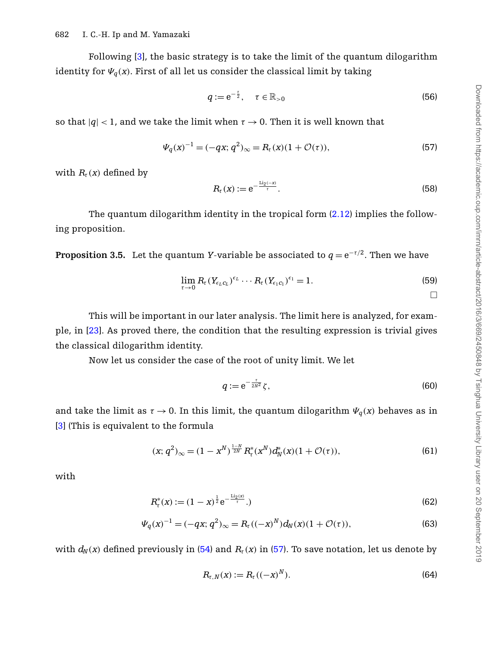Following [\[3\]](#page-25-11), the basic strategy is to take the limit of the quantum dilogarithm identity for  $\Psi_q(x)$ . First of all let us consider the classical limit by taking

$$
q := e^{-\frac{\tau}{2}}, \quad \tau \in \mathbb{R}_{>0}
$$
\n
$$
(56)
$$

so that  $|q|$  < 1, and we take the limit when  $\tau \to 0$ . Then it is well known that

<span id="page-13-0"></span>
$$
\Psi_q(x)^{-1} = (-qx; q^2)_{\infty} = R_\tau(x)(1 + \mathcal{O}(\tau)),\tag{57}
$$

with  $R_{\tau}(x)$  defined by

$$
R_{\tau}(x) := e^{-\frac{\text{Li}_2(-x)}{\tau}}.
$$
\n
$$
(58)
$$

<span id="page-13-2"></span>The quantum dilogarithm identity in the tropical form [\(2.12\)](#page-4-0) implies the following proposition.

**Proposition 3.5.** Let the quantum *Y*-variable be associated to  $q = e^{-\tau/2}$ . Then we have

$$
\lim_{\tau \to 0} R_{\tau} (Y_{\epsilon_L c_L})^{\epsilon_L} \cdots R_{\tau} (Y_{\epsilon_1 c_1})^{\epsilon_1} = 1.
$$
\n
$$
\Box
$$

This will be important in our later analysis. The limit here is analyzed, for example, in [\[23\]](#page-26-0). As proved there, the condition that the resulting expression is trivial gives the classical dilogarithm identity.

Now let us consider the case of the root of unity limit. We let

<span id="page-13-3"></span>
$$
q := e^{-\frac{\tau}{2N^2}} \zeta,\tag{60}
$$

and take the limit as  $\tau \to 0$ . In this limit, the quantum dilogarithm  $\Psi_q(x)$  behaves as in [\[3\]](#page-25-11) (This is equivalent to the formula

$$
(x; q^2)_{\infty} = (1 - x^N)^{\frac{1 - N}{2N}} R_{\tau}^*(x^N) d_N^*(x) (1 + \mathcal{O}(\tau)),
$$
\n(61)

with

$$
R_{\tau}^{*}(x) := (1 - x)^{\frac{1}{2}} e^{-\frac{\text{Li}_2(x)}{\tau}}.
$$
\n(62)

$$
\Psi_q(x)^{-1} = (-qx; q^2)_{\infty} = R_\tau((-x)^N) d_N(x) (1 + \mathcal{O}(\tau)),
$$
\n(63)

with  $d_N(x)$  defined previously in [\(54\)](#page-12-2) and  $R_{\tau}(x)$  in [\(57\)](#page-13-0). To save notation, let us denote by

<span id="page-13-4"></span><span id="page-13-1"></span>
$$
R_{\tau,N}(x) := R_{\tau}((-x)^N). \tag{64}
$$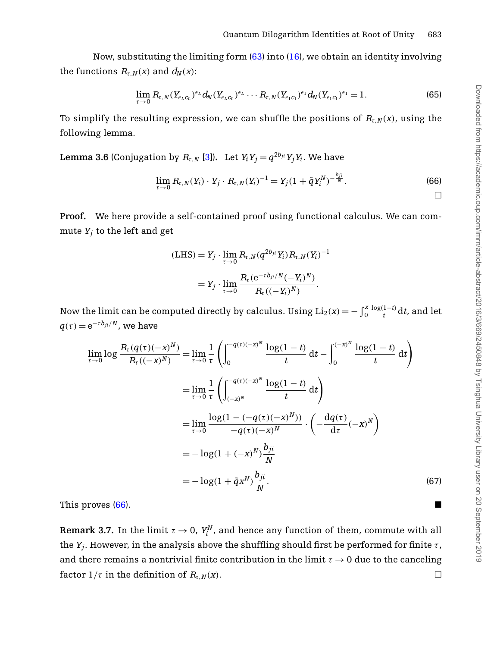Now, substituting the limiting form  $(63)$  into  $(16)$ , we obtain an identity involving the functions  $R_{\tau,N}(x)$  and  $d_N(x)$ :

$$
\lim_{\tau \to 0} R_{\tau, N} (Y_{\epsilon_L c_L})^{\epsilon_L} d_N (Y_{\epsilon_L c_L})^{\epsilon_L} \cdots R_{\tau, N} (Y_{\epsilon_1 c_1})^{\epsilon_1} d_N (Y_{\epsilon_1 c_1})^{\epsilon_1} = 1.
$$
\n(65)

To simplify the resulting expression, we can shuffle the positions of  $R_{\tau,N}(x)$ , using the following lemma.

**Lemma 3.6** (Conjugation by  $R_{\tau,N}$  [\[3\]](#page-25-11)). Let  $Y_i Y_j = q^{2b_{ji}} Y_j Y_i$ . We have

<span id="page-14-0"></span>
$$
\lim_{\tau \to 0} R_{\tau, N}(Y_i) \cdot Y_j \cdot R_{\tau, N}(Y_i)^{-1} = Y_j (1 + \tilde{q} Y_i^N)^{-\frac{b_{ji}}{N}}.
$$
\n(66)

**Proof.** We here provide a self-contained proof using functional calculus. We can commute  $Y_i$  to the left and get

<span id="page-14-1"></span>
$$
\begin{aligned} \text{(LHS)} &= Y_j \cdot \lim_{\tau \to 0} R_{\tau, N}(q^{2b_{ji}} Y_i) R_{\tau, N}(Y_i)^{-1} \\ &= Y_j \cdot \lim_{\tau \to 0} \frac{R_{\tau}(\mathbf{e}^{-\tau b_{ji}/N} (-Y_i)^N)}{R_{\tau}((-Y_i)^N)} .\end{aligned}
$$

Now the limit can be computed directly by calculus. Using  $\text{Li}_2(x) = -\int_0^x$  $\frac{\log(1-t)}{t}$ d*t*, and let  $q(\tau) = e^{-\tau b_{ji}/N}$ , we have

$$
\lim_{\tau \to 0} \log \frac{R_{\tau}(q(\tau)(-x)^{N})}{R_{\tau}((-x)^{N})} = \lim_{\tau \to 0} \frac{1}{\tau} \left( \int_{0}^{-q(\tau)(-x)^{N}} \frac{\log(1-t)}{t} dt - \int_{0}^{(-x)^{N}} \frac{\log(1-t)}{t} dt \right)
$$
\n
$$
= \lim_{\tau \to 0} \frac{1}{\tau} \left( \int_{(-x)^{N}}^{-q(\tau)(-x)^{N}} \frac{\log(1-t)}{t} dt \right)
$$
\n
$$
= \lim_{\tau \to 0} \frac{\log(1 - (-q(\tau)(-x)^{N}))}{-q(\tau)(-x)^{N}} \cdot \left( -\frac{dq(\tau)}{d\tau}(-x)^{N} \right)
$$
\n
$$
= -\log(1 + (-x)^{N}) \frac{b_{ji}}{N}
$$
\n
$$
= -\log(1 + \tilde{q}x^{N}) \frac{b_{ji}}{N}.
$$
\n(67)

This proves  $(66)$ .

**Remark 3.7.** In the limit  $\tau \to 0$ ,  $Y_i^N$ , and hence any function of them, commute with all the  $Y_i$ . However, in the analysis above the shuffling should first be performed for finite  $\tau$ , and there remains a nontrivial finite contribution in the limit  $\tau \to 0$  due to the canceling factor  $1/\tau$  in the definition of  $R_{\tau N}(x)$ .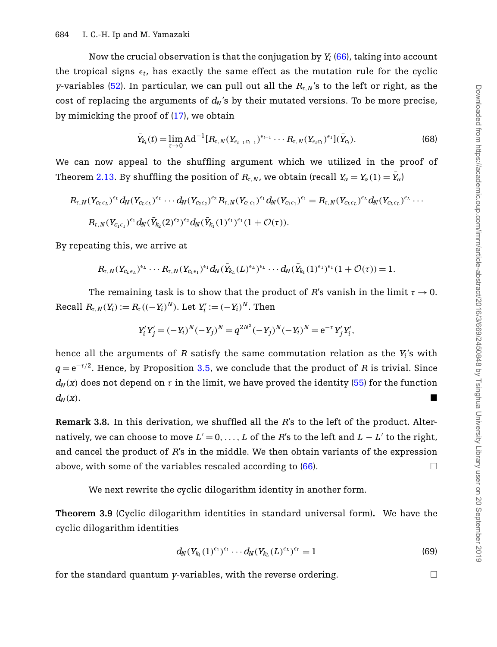Now the crucial observation is that the conjugation by *Yi* [\(66\)](#page-14-0), taking into account the tropical signs  $\epsilon_t$ , has exactly the same effect as the mutation rule for the cyclic *y*-variables [\(52\)](#page-12-3). In particular, we can pull out all the *R*τ,*<sup>N</sup>*'s to the left or right, as the cost of replacing the arguments of  $d_N$ 's by their mutated versions. To be more precise, by mimicking the proof of  $(17)$ , we obtain

$$
\bar{Y}_{k_t}(t) = \lim_{\tau \to 0} \text{Ad}^{-1}[R_{\tau,N}(Y_{\epsilon_{t-1}C_{t-1}})^{\epsilon_{t-1}} \cdots R_{\tau,N}(Y_{\epsilon_t C_1})^{\epsilon_1}](\bar{Y}_{C_t}). \tag{68}
$$

We can now appeal to the shuffling argument which we utilized in the proof of Theorem [2.13.](#page-5-0) By shuffling the position of  $R_{\tau,N}$ , we obtain (recall  $Y_\alpha=Y_\alpha(1)=\bar Y_\alpha/2$ 

$$
R_{\tau,N}(Y_{C_L\epsilon_L})^{\epsilon_L} d_N(Y_{C_L\epsilon_L})^{\epsilon_L} \cdots d_N(Y_{C_2\epsilon_2})^{\epsilon_2} R_{\tau,N}(Y_{C_1\epsilon_1})^{\epsilon_1} d_N(Y_{C_1\epsilon_1})^{\epsilon_1} = R_{\tau,N}(Y_{C_L\epsilon_L})^{\epsilon_L} d_N(Y_{C_L\epsilon_L})^{\epsilon_L} \cdots
$$
  

$$
R_{\tau,N}(Y_{C_1\epsilon_1})^{\epsilon_1} d_N(\bar{Y}_{k_2}(2)^{\epsilon_2})^{\epsilon_2} d_N(\bar{Y}_{k_1}(1)^{\epsilon_1})^{\epsilon_1} (1 + \mathcal{O}(\tau)).
$$

By repeating this, we arrive at

$$
R_{\tau,N}(Y_{C_L\epsilon_L})^{\epsilon_L}\cdots R_{\tau,N}(Y_{C_1\epsilon_1})^{\epsilon_1}d_N(\bar{Y}_{k_L}(L)^{\epsilon_L})^{\epsilon_L}\cdots d_N(\bar{Y}_{k_1}(1)^{\epsilon_1})^{\epsilon_1}(1+\mathcal{O}(\tau))=1.
$$

The remaining task is to show that the product of *R*'s vanish in the limit  $\tau \rightarrow 0$ .  $Recall R_{\tau,N}(Y_i) := R_{\tau}((-Y_i)^N)$ . Let  $Y'_i := (-Y_i)^N$ . Then

$$
Y_i'Y_j' = (-Y_i)^N (-Y_j)^N = q^{2N^2} (-Y_j)^N (-Y_i)^N = e^{-\tau} Y_j' Y_i',
$$

hence all the arguments of *R* satisfy the same commutation relation as the *Yi*'s with  $q = e^{-\tau/2}$ . Hence, by Proposition [3.5,](#page-13-2) we conclude that the product of *R* is trivial. Since  $d_N(x)$  does not depend on  $\tau$  in the limit, we have proved the identity [\(55\)](#page-12-4) for the function  $d_N(x)$ .

**Remark 3.8.** In this derivation, we shuffled all the *R*'s to the left of the product. Alternatively, we can choose to move  $L' = 0, \ldots, L$  of the *R*'s to the left and  $L - L'$  to the right, and cancel the product of *R*'s in the middle. We then obtain variants of the expression above, with some of the variables rescaled according to  $(66)$ .

We next rewrite the cyclic dilogarithm identity in another form.

<span id="page-15-0"></span>**Theorem 3.9** (Cyclic dilogarithm identities in standard universal form)**.** We have the cyclic dilogarithm identities

<span id="page-15-1"></span>
$$
d_N(Y_{k_1}(1)^{\epsilon_1})^{\epsilon_1}\cdots d_N(Y_{k_L}(L)^{\epsilon_L})^{\epsilon_L}=1
$$
\n(69)

for the standard quantum *y*-variables, with the reverse ordering.  $\Box$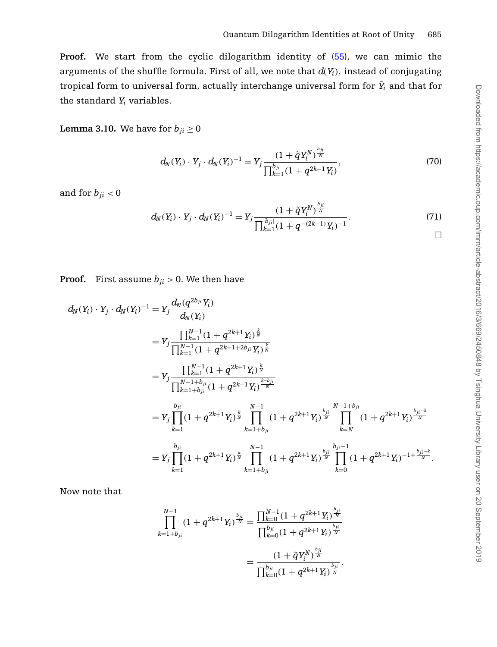**Proof.** We start from the cyclic dilogarithm identity of [\(55\)](#page-12-4), we can mimic the arguments of the shuffle formula. First of all, we note that  $d(Y_i)$ , instead of conjugating tropical form to universal form, actually interchange universal form for  $\bar{Y}_i$  and that for the standard *Yi* variables.

# **Lemma 3.10.** We have for  $b_{ji} \ge 0$

$$
d_N(Y_i) \cdot Y_j \cdot d_N(Y_i)^{-1} = Y_j \frac{(1 + \tilde{q}Y_i^N)^{\frac{b_{ji}}{N}}}{\prod_{k=1}^{b_{ji}} (1 + q^{2k-1}Y_i)},
$$
\n(70)

and for  $b_{ji} < 0$ 

$$
d_N(Y_i) \cdot Y_j \cdot d_N(Y_i)^{-1} = Y_j \frac{\left(1 + \tilde{q} Y_i^N\right)^{\frac{b_{ji}}{N}}}{\prod_{k=1}^{|b_{ji}|} \left(1 + q^{-\left(2k-1\right)} Y_i\right)^{-1}}.
$$
\n(71)

**Proof.** First assume  $b_{ji} > 0$ . We then have

$$
d_{N}(Y_{i}) \cdot Y_{j} \cdot d_{N}(Y_{i})^{-1} = Y_{j} \frac{d_{N}(q^{2b_{ji}} Y_{i})}{d_{N}(Y_{i})}
$$
\n
$$
= Y_{j} \frac{\prod_{k=1}^{N-1} (1 + q^{2k+1} Y_{i})^{\frac{k}{N}}}{\prod_{k=1}^{N-1} (1 + q^{2k+1+2b_{ji}} Y_{i})^{\frac{k}{N}}}
$$
\n
$$
= Y_{j} \frac{\prod_{k=1}^{N-1} (1 + q^{2k+1} Y_{i})^{\frac{k}{N}}}{\prod_{k=1+b_{ji}}^{N-1+b_{ji}} (1 + q^{2k+1} Y_{i})^{\frac{k-b_{ji}}{N}}}
$$
\n
$$
= Y_{j} \prod_{k=1}^{b_{ji}} (1 + q^{2k+1} Y_{i})^{\frac{k}{N}} \prod_{k=1+b_{ji}}^{N-1} (1 + q^{2k+1} Y_{i})^{\frac{b_{ji}}{N}} \prod_{k=N}^{N-1+b_{ji}} (1 + q^{2k+1} Y_{i})^{\frac{b_{ji}-k}{N}}
$$
\n
$$
= Y_{j} \prod_{k=1}^{b_{ji}} (1 + q^{2k+1} Y_{i})^{\frac{k}{N}} \prod_{k=1+b_{ji}}^{N-1} (1 + q^{2k+1} Y_{i})^{\frac{b_{ji}}{N}} \prod_{k=0}^{\frac{b_{ji}}{N-1}} (1 + q^{2k+1} Y_{i})^{-1+\frac{b_{ji}-k}{N}}.
$$

Now note that

$$
\prod_{k=1+b_{ji}}^{N-1} (1+q^{2k+1}Y_i)^{\frac{b_{ji}}{N}} = \frac{\prod_{k=0}^{N-1} (1+q^{2k+1}Y_i)^{\frac{b_{ji}}{N}}}{\prod_{k=0}^{b_{ji}} (1+q^{2k+1}Y_i)^{\frac{b_{ji}}{N}}}
$$

$$
= \frac{(1+\tilde{q}Y_i^N)^{\frac{b_{ji}}{N}}}{\prod_{k=0}^{b_{ji}} (1+q^{2k+1}Y_i)^{\frac{b_{ji}}{N}}}.
$$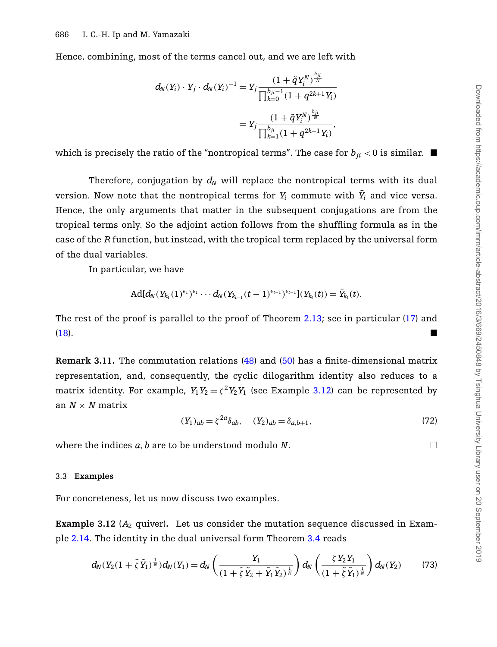Hence, combining, most of the terms cancel out, and we are left with

$$
\begin{aligned} d_N(Y_i)\cdot Y_j\cdot d_N(Y_i)^{-1} &= Y_j \frac{(1+\tilde{q}Y_i^N)^{\frac{b_{ji}}{N}}}{\prod_{k=0}^{b_{ji}-1}(1+q^{2k+1}Y_i)} \\ &= Y_j \frac{(1+\tilde{q}Y_i^N)^{\frac{b_{ji}}{N}}}{\prod_{k=1}^{b_{ji}}(1+q^{2k-1}Y_i)}, \end{aligned}
$$

which is precisely the ratio of the "nontropical terms". The case for  $b_{ii} < 0$  is similar.  $\blacksquare$ 

Therefore, conjugation by  $d_N$  will replace the nontropical terms with its dual version. Now note that the nontropical terms for  $Y_i$  commute with  $\bar{Y}_i$  and vice versa. Hence, the only arguments that matter in the subsequent conjugations are from the tropical terms only. So the adjoint action follows from the shuffling formula as in the case of the *R* function, but instead, with the tropical term replaced by the universal form of the dual variables.

In particular, we have

$$
\text{Ad}[d_N(Y_{k_1}(1)^{\epsilon_1})^{\epsilon_1}\cdots d_N(Y_{k_{t-1}}(t-1)^{\epsilon_{t-1}})^{\epsilon_{t-1}}](Y_{k_t}(t))=\bar{Y}_{k_t}(t).
$$

The rest of the proof is parallel to the proof of Theorem [2.13;](#page-5-0) see in particular [\(17\)](#page-5-1) and [\(18\)](#page-5-2).

**Remark 3.11.** The commutation relations [\(48\)](#page-11-1) and [\(50\)](#page-11-2) has a finite-dimensional matrix representation, and, consequently, the cyclic dilogarithm identity also reduces to a matrix identity. For example,  $Y_1 Y_2 = \zeta^2 Y_2 Y_1$  (see Example [3.12\)](#page-17-0) can be represented by an  $N \times N$  matrix

$$
(Y_1)_{ab} = \zeta^{2a} \delta_{ab}, \quad (Y_2)_{ab} = \delta_{a,b+1}, \tag{72}
$$

where the indices  $a, b$  are to be understood modulo  $N$ .

#### 3.3 **Examples**

<span id="page-17-0"></span>For concreteness, let us now discuss two examples.

**Example 3.12** ( $A_2$  quiver). Let us consider the mutation sequence discussed in Example [2.14.](#page-5-3) The identity in the dual universal form Theorem [3.4](#page-12-0) reads

$$
d_N(Y_2(1+\tilde{\zeta}\tilde{Y}_1)^{\frac{1}{N}})d_N(Y_1) = d_N\left(\frac{Y_1}{(1+\tilde{\zeta}\tilde{Y}_2+\tilde{Y}_1\tilde{Y}_2)^{\frac{1}{N}}}\right)d_N\left(\frac{\zeta Y_2 Y_1}{(1+\tilde{\zeta}\tilde{Y}_1)^{\frac{1}{N}}}\right)d_N(Y_2)
$$
(73)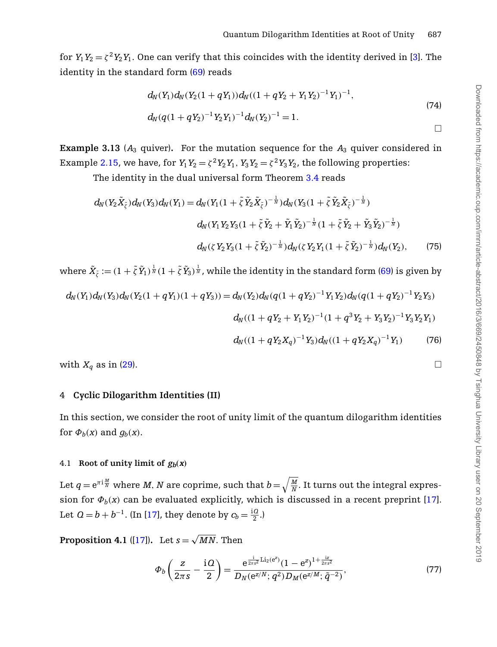for  $Y_1 Y_2 = \zeta^2 Y_2 Y_1$ . One can verify that this coincides with the identity derived in [\[3\]](#page-25-11). The identity in the standard form [\(69\)](#page-15-1) reads

$$
d_N(Y_1)d_N(Y_2(1+qY_1))d_N((1+qY_2+Y_1Y_2)^{-1}Y_1)^{-1},
$$
  
\n
$$
d_N(q(1+qY_2)^{-1}Y_2Y_1)^{-1}d_N(Y_2)^{-1}=1.
$$
\n
$$
\Box
$$

**Example 3.13** ( $A_3$  quiver). For the mutation sequence for the  $A_3$  quiver considered in Example [2.15,](#page-6-1) we have, for  $Y_1Y_2 = \zeta^2 Y_2Y_1$ ,  $Y_3Y_2 = \zeta^2 Y_3Y_2$ , the following properties:

The identity in the dual universal form Theorem [3.4](#page-12-0) reads

$$
d_{N}(Y_{2}\tilde{X}_{\tilde{\zeta}})d_{N}(Y_{3})d_{N}(Y_{1}) = d_{N}(Y_{1}(1 + \tilde{\zeta}\tilde{Y}_{2}\tilde{X}_{\tilde{\zeta}})^{-\frac{1}{N}})d_{N}(Y_{3}(1 + \tilde{\zeta}\tilde{Y}_{2}\tilde{X}_{\tilde{\zeta}})^{-\frac{1}{N}})
$$
  

$$
d_{N}(Y_{1}Y_{2}Y_{3}(1 + \tilde{\zeta}\tilde{Y}_{2} + \tilde{Y}_{1}\tilde{Y}_{2})^{-\frac{1}{N}}(1 + \tilde{\zeta}\tilde{Y}_{2} + \tilde{Y}_{3}\tilde{Y}_{2})^{-\frac{1}{N}})
$$
  

$$
d_{N}(\zeta Y_{2}Y_{3}(1 + \tilde{\zeta}\tilde{Y}_{2})^{-\frac{1}{N}})d_{N}(\zeta Y_{2}Y_{1}(1 + \tilde{\zeta}\tilde{Y}_{2})^{-\frac{1}{N}})d_{N}(Y_{2}), \qquad (75)
$$

where  $\tilde X_{\tilde\zeta}:=(1+\tilde\zeta\,\tilde Y_1)^{\frac{1}{N}}(1+\tilde\zeta\,\tilde Y_3)^{\frac{1}{N}}$ , while the identity in the standard form [\(69\)](#page-15-1) is given by

$$
d_N(Y_1)d_N(Y_3)d_N(Y_2(1+qY_1)(1+qY_3)) = d_N(Y_2)d_N(q(1+qY_2)^{-1}Y_1Y_2)d_N(q(1+qY_2)^{-1}Y_2Y_3)
$$
  

$$
d_N((1+qY_2+Y_1Y_2)^{-1}(1+q^3Y_2+Y_3Y_2)^{-1}Y_3Y_2Y_1)
$$

$$
d_N((1+qY_2X_q)^{-1}Y_3)d_N((1+qY_2X_q)^{-1}Y_1)
$$
 (76)

<span id="page-18-0"></span>with  $X_q$  as in [\(29\)](#page-7-0).

### 4 **Cyclic Dilogarithm Identities (II)**

In this section, we consider the root of unity limit of the quantum dilogarithm identities for  $\Phi_b(x)$  and  $g_b(x)$ .

#### 4.1 Root of unity limit of  $g_b(x)$

Let  $q = \mathrm{e}^{\pi\mathrm{i}\frac{M}{N}}$  where  $M$ ,  $N$  are coprime, such that  $b\!=\!\sqrt{\frac{M}{N}}.$  It turns out the integral expression for  $\Phi_b(x)$  can be evaluated explicitly, which is discussed in a recent preprint [\[17\]](#page-25-9). Let  $Q = b + b^{-1}$ . (In [\[17\]](#page-25-9), they denote by  $c_b = \frac{Q}{2}$ .)

<span id="page-18-1"></span>**Proposition 4.1** ([\[17\]](#page-25-9)). Let  $s = \sqrt{MN}$ . Then

$$
\Phi_b\left(\frac{z}{2\pi s} - \frac{\mathrm{i} \, Q}{2}\right) = \frac{\mathrm{e}^{\frac{\mathrm{i}}{2\pi s^2} \mathrm{Li}_2(\mathrm{e}^z)} (1 - \mathrm{e}^z)^{1 + \frac{\mathrm{i} z}{2\pi s^2}}}{D_N(\mathrm{e}^{z/N}; q^2) D_M(\mathrm{e}^{z/M}; \tilde{q}^{-2})},\tag{77}
$$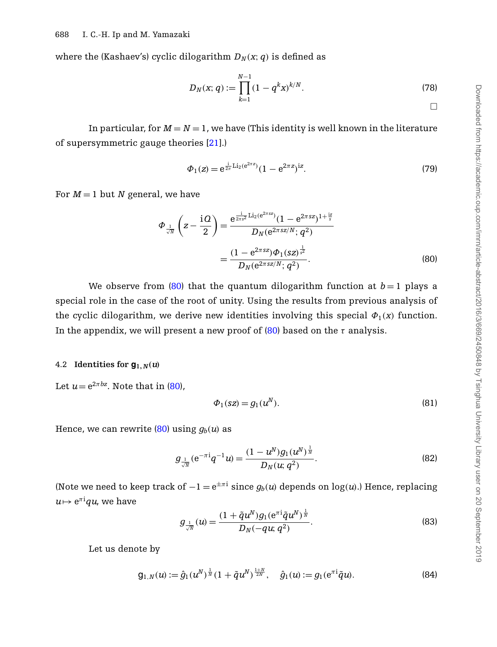where the (Kashaev's) cyclic dilogarithm  $D_N(x; q)$  is defined as

$$
D_N(x; q) := \prod_{k=1}^{N-1} (1 - q^k x)^{k/N}.
$$
 (78)

In particular, for  $M = N = 1$ , we have (This identity is well known in the literature of supersymmetric gauge theories [\[21\]](#page-26-15).)

<span id="page-19-0"></span>
$$
\Phi_1(z) = e^{\frac{i}{2\pi} \text{Li}_2(e^{2\pi z})} (1 - e^{2\pi z})^{iz}.
$$
\n(79)

For  $M = 1$  but *N* general, we have

$$
\Phi_{\frac{1}{\sqrt{N}}}\left(z-\frac{\mathrm{i}Q}{2}\right) = \frac{\mathrm{e}^{\frac{1}{2\pi s^2}\mathrm{Li}_2(\mathrm{e}^{2\pi s z})}(1-\mathrm{e}^{2\pi s z})^{1+\frac{\mathrm{i}z}{s}}}{D_N(\mathrm{e}^{2\pi s z/N};q^2)} = \frac{(1-\mathrm{e}^{2\pi s z})\Phi_1(sz)^{\frac{1}{s^2}}}{D_N(\mathrm{e}^{2\pi s z/N};q^2)}.\tag{80}
$$

We observe from [\(80\)](#page-19-0) that the quantum dilogarithm function at  $b=1$  plays a special role in the case of the root of unity. Using the results from previous analysis of the cyclic dilogarithm, we derive new identities involving this special  $\Phi_1(x)$  function. In the appendix, we will present a new proof of  $(80)$  based on the  $\tau$  analysis.

#### 4.2 **Identities for**  $\mathbf{g}_{1,N}(u)$

Let  $u = e^{2\pi bx}$ . Note that in [\(80\)](#page-19-0),

$$
\Phi_1(sz) = g_1(u^N). \tag{81}
$$

Hence, we can rewrite  $(80)$  using  $g_b(u)$  as

$$
g_{\frac{1}{\sqrt{N}}}(e^{-\pi i}q^{-1}u) = \frac{(1 - u^N)g_1(u^N)^{\frac{1}{N}}}{D_N(u;q^2)}.
$$
\n(82)

(Note we need to keep track of  $-1 = e^{\pm \pi i}$  since  $g_b(u)$  depends on log(*u*).) Hence, replacing  $u\!\mapsto$  e $^{\pi\mathrm{i}}qu$ , we have

<span id="page-19-1"></span>
$$
g_{\frac{1}{\sqrt{N}}}(u) = \frac{(1 + \tilde{q}u^N)g_1(e^{\pi i}\tilde{q}u^N)^{\frac{1}{N}}}{D_N(-qu;q^2)}.
$$
\n(83)

Let us denote by

$$
g_{1,N}(u) := \hat{g}_1(u^N)^{\frac{1}{N}} (1 + \tilde{q}u^N)^{\frac{1+N}{2N}}, \quad \hat{g}_1(u) := g_1(e^{\pi i} \tilde{q}u).
$$
 (84)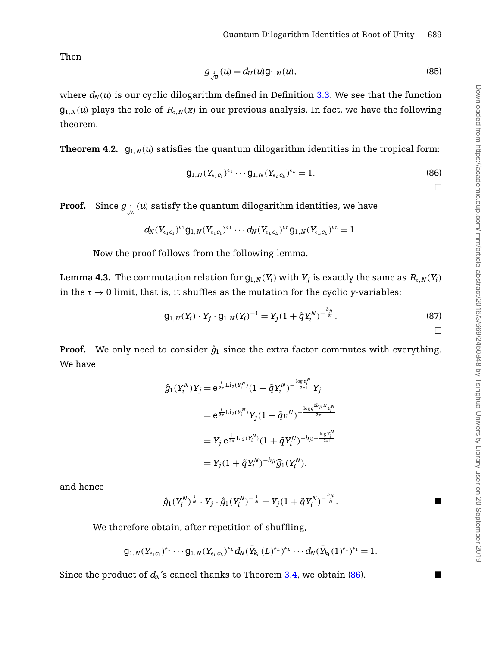Then

$$
g_{\frac{1}{\sqrt{N}}}(u) = d_N(u) \mathsf{g}_{1,N}(u),\tag{85}
$$

<span id="page-20-0"></span>where  $d_N(u)$  is our cyclic dilogarithm defined in Definition [3.3.](#page-12-5) We see that the function  $g_{1,N}(u)$  plays the role of  $R_{\tau,N}(x)$  in our previous analysis. In fact, we have the following theorem.

**Theorem 4.2.**  $q_1_N(u)$  satisfies the quantum dilogarithm identities in the tropical form:

$$
g_{1,N}(Y_{\epsilon_1 c_1})^{\epsilon_1} \cdots g_{1,N}(Y_{\epsilon_L c_L})^{\epsilon_L} = 1.
$$
\n(86)

<span id="page-20-1"></span> $\Box$ 

**Proof.**  $\,$  Since  $g_{\frac{1}{\sqrt{N}}}(u)$  satisfy the quantum dilogarithm identities, we have

$$
d_N(Y_{\epsilon_1c_1})^{\epsilon_1}g_{1,N}(Y_{\epsilon_1c_1})^{\epsilon_1}\cdots d_N(Y_{\epsilon_Lc_L})^{\epsilon_L}g_{1,N}(Y_{\epsilon_Lc_L})^{\epsilon_L}=1.
$$

Now the proof follows from the following lemma.

**Lemma 4.3.** The commutation relation for  $g_{1,N}(Y_i)$  with  $Y_i$  is exactly the same as  $R_{\tau,N}(Y_i)$ in the  $\tau \to 0$  limit, that is, it shuffles as the mutation for the cyclic *y*-variables:

$$
g_{1,N}(Y_i) \cdot Y_j \cdot g_{1,N}(Y_i)^{-1} = Y_j(1 + \tilde{q}Y_i^N)^{-\frac{b_{ji}}{N}}.
$$
\n(87)

**Proof.** We only need to consider  $\hat{g}_1$  since the extra factor commutes with everything. We have

$$
\begin{aligned} \hat{g}_1(Y_i^N)Y_j &= \mathrm{e}^{\frac{\mathrm{i}}{2\pi}\mathrm{Li}_2(Y_i^N)}(1+\tilde{q}Y_i^N)^{-\frac{\log Y_i^N}{2\pi \mathrm{i}}}Y_j \\ &= \mathrm{e}^{\frac{\mathrm{i}}{2\pi}\mathrm{Li}_2(Y_i^N)}Y_j(1+\tilde{q}v^N)^{-\frac{\log q^{2b}ji^NY_i^N}{2\pi \mathrm{i}}} \\ &= Y_j\,\mathrm{e}^{\frac{\mathrm{i}}{2\pi}\mathrm{Li}_2(Y_i^N)}(1+\tilde{q}Y_i^N)^{-b_{ji}-\frac{\log Y_i^N}{2\pi \mathrm{i}}} \\ &= Y_j(1+\tilde{q}Y_i^N)^{-b_{ji}}\widehat{g}_1(Y_i^N), \end{aligned}
$$

and hence

$$
\hat{g}_1(Y_i^N)^{\frac{1}{N}} \cdot Y_j \cdot \hat{g}_1(Y_i^N)^{-\frac{1}{N}} = Y_j(1 + \tilde{q}Y_i^N)^{-\frac{b_{ji}}{N}}.
$$

We therefore obtain, after repetition of shuffling,

$$
g_{1,N}(Y_{\epsilon_1 c_1})^{\epsilon_1}\cdots g_{1,N}(Y_{\epsilon_L c_L})^{\epsilon_L}d_N(\bar{Y}_{k_L}(L)^{\epsilon_L})^{\epsilon_L}\cdots d_N(\bar{Y}_{k_1}(1)^{\epsilon_1})^{\epsilon_1} = 1.
$$

Since the product of  $d_N$ 's cancel thanks to Theorem [3.4,](#page-12-0) we obtain [\(86\)](#page-20-1).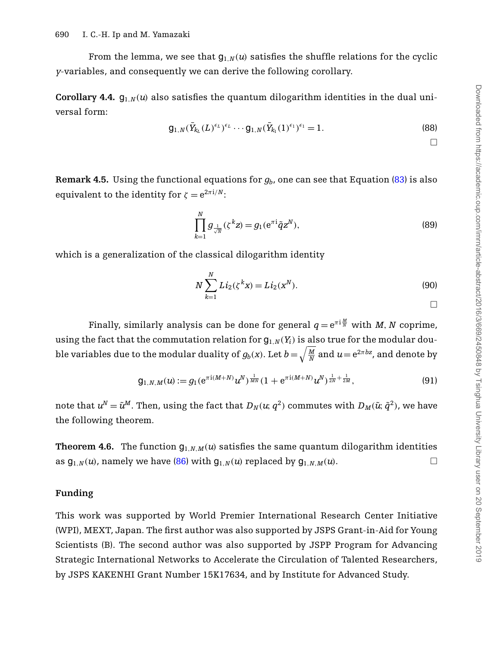From the lemma, we see that  $g_{1,N}(u)$  satisfies the shuffle relations for the cyclic *y*-variables, and consequently we can derive the following corollary.

**Corollary 4.4.**  $g_{1,N}(u)$  also satisfies the quantum dilogarithm identities in the dual universal form:

$$
g_{1,N}(\bar{Y}_{k_L}(L)^{\epsilon_L})^{\epsilon_L} \cdots g_{1,N}(\bar{Y}_{k_1}(1)^{\epsilon_1})^{\epsilon_1} = 1.
$$
\n(88)

 $\Box$ 

**Remark 4.5.** Using the functional equations for *gb*, one can see that Equation [\(83\)](#page-19-1) is also equivalent to the identity for  $\zeta = e^{2\pi i/N}$ :

$$
\prod_{k=1}^{N} g_{\frac{1}{\sqrt{N}}}(\zeta^{k} z) = g_1(e^{\pi i} \tilde{q} z^N),
$$
\n(89)

which is a generalization of the classical dilogarithm identity

$$
N\sum_{k=1}^{N} Li_2(\zeta^k x) = Li_2(x^N).
$$
\n(90)

Finally, similarly analysis can be done for general  $q = \mathrm{e}^{\pi\mathrm{i}\frac{M}{N}}$  with  $M$ ,  $N$  coprime, using the fact that the commutation relation for  $g_{1,N}(Y_i)$  is also true for the modular double variables due to the modular duality of  $g_b({\rm x}).$  Let  $b\!=\!\sqrt{\frac{M}{N}}$  and  $u\!=\!\mathrm{e}^{2\pi b z}$ , and denote by

$$
g_{1,N,M}(u) := g_1(e^{\pi i(M+N)}u^N)^{\frac{1}{MN}}(1 + e^{\pi i(M+N)}u^N)^{\frac{1}{2N} + \frac{1}{2M}},
$$
\n(91)

<span id="page-21-0"></span>note that  $u^N = \tilde{u}^M$ . Then, using the fact that  $D_N(u; q^2)$  commutes with  $D_M(\tilde{u}; \tilde{q}^2)$ , we have the following theorem.

**Theorem 4.6.** The function  $g_{1,N,M}(u)$  satisfies the same quantum dilogarithm identities as  $g_{1,N}(u)$ , namely we have [\(86\)](#page-20-1) with  $g_{1,N}(u)$  replaced by  $g_{1,N,M}(u)$ .

#### **Funding**

This work was supported by World Premier International Research Center Initiative (WPI), MEXT, Japan. The first author was also supported by JSPS Grant-in-Aid for Young Scientists (B). The second author was also supported by JSPP Program for Advancing Strategic International Networks to Accelerate the Circulation of Talented Researchers, by JSPS KAKENHI Grant Number 15K17634, and by Institute for Advanced Study.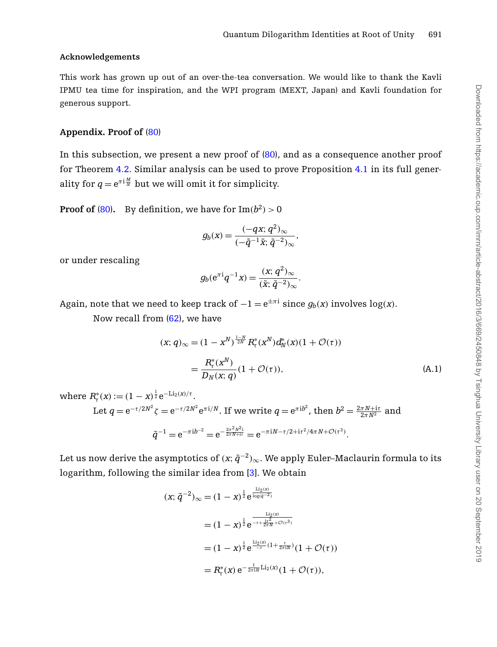### **Acknowledgements**

This work has grown up out of an over-the-tea conversation. We would like to thank the Kavli IPMU tea time for inspiration, and the WPI program (MEXT, Japan) and Kavli foundation for generous support.

### **Appendix. Proof of** [\(80\)](#page-19-0)

In this subsection, we present a new proof of  $(80)$ , and as a consequence another proof for Theorem [4.2.](#page-20-0) Similar analysis can be used to prove Proposition [4.1](#page-18-1) in its full generality for  $q = e^{\pi i \frac{M}{N}}$  but we will omit it for simplicity.

**Proof of** [\(80\)](#page-19-0). By definition, we have for  $\text{Im}(b^2) > 0$ 

$$
g_b(x) = \frac{(-qx; q^2)_{\infty}}{(-\tilde{q}^{-1}\tilde{x}; \tilde{q}^{-2})_{\infty}},
$$

or under rescaling

<span id="page-22-0"></span>
$$
g_b(e^{\pi i}q^{-1}x) = \frac{(x;q^2)_{\infty}}{(\tilde{x};\tilde{q}^{-2})_{\infty}}.
$$

Again, note that we need to keep track of  $-1 = e^{\pm \pi i}$  since  $q_b(x)$  involves  $\log(x)$ .

Now recall from [\(62\)](#page-13-3), we have

$$
(x;q)_{\infty} = (1 - x^N)^{\frac{1-N}{2N}} R_{\tau}^*(x^N) d_N^*(x) (1 + \mathcal{O}(\tau))
$$
  
= 
$$
\frac{R_{\tau}^*(x^N)}{D_N(x;q)} (1 + \mathcal{O}(\tau)),
$$
 (A.1)

where  $R^*_{\tau}(x) := (1-x)^{\frac{1}{2}} e^{-\text{Li}_2(x)/\tau}$ . Let  $q = e^{-\tau/2N^2} \zeta = e^{-\tau/2N^2} e^{\pi i/N}$ . If we write  $q = e^{\pi i b^2}$ , then  $b^2 = \frac{2\pi N + i\tau}{2\pi N^2}$  and  $\tilde{q}^{-1} = e^{-\pi i b^{-2}} = e^{-\frac{2\pi^2 N^2 \mathrm{i}}{2\pi N + \mathrm{i} \tau}} = e^{-\pi i N - \tau/2 + \mathrm{i} \tau^2/4\pi N + \mathcal{O}(\tau^3)}.$ 

Let us now derive the asymptotics of  $(x; \tilde{q}^{-2})_{\infty}$ . We apply Euler–Maclaurin formula to its logarithm, following the similar idea from [\[3\]](#page-25-11). We obtain

$$
(x; \tilde{q}^{-2})_{\infty} = (1 - x)^{\frac{1}{2}} e^{\frac{\text{Li}_2(x)}{\log(\tilde{q}^{-2})}}
$$
  
=  $(1 - x)^{\frac{1}{2}} e^{\frac{\text{Li}_2(x)}{-t + \frac{\text{i}t^2}{2\pi N} + \mathcal{O}(\tau^3)}}$   
=  $(1 - x)^{\frac{1}{2}} e^{\frac{\text{Li}_2(x)}{-\tau} (1 + \frac{\tau}{2\pi i N})} (1 + \mathcal{O}(\tau))$   
=  $R_{\tau}^*(x) e^{-\frac{1}{2\pi i N} \text{Li}_2(x)} (1 + \mathcal{O}(\tau)),$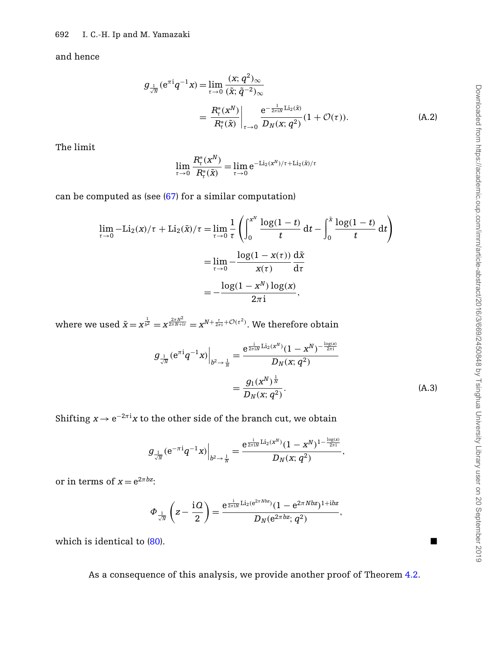and hence

$$
g_{\frac{1}{\sqrt{N}}} (e^{\pi i} q^{-1} x) = \lim_{\tau \to 0} \frac{(x; q^2)_{\infty}}{(\tilde{x}; \tilde{q}^{-2})_{\infty}}
$$
  
= 
$$
\frac{R_{\tau}^*(x^N)}{R_{\tau}^*(\tilde{x})} \bigg|_{\tau \to 0} \frac{e^{-\frac{1}{2\pi i N} \text{Li}_2(\tilde{x})}}{D_N(x; q^2)} (1 + \mathcal{O}(\tau)).
$$
 (A.2)

The limit

$$
\lim_{\tau \to 0} \frac{R_\tau^*(x^N)}{R_\tau^*(\tilde{x})} = \lim_{\tau \to 0} e^{-\text{Li}_2(x^N)/\tau + \text{Li}_2(\tilde{x})/\tau}
$$

can be computed as (see [\(67\)](#page-14-1) for a similar computation)

$$
\lim_{\tau \to 0} -\text{Li}_2(x)/\tau + \text{Li}_2(\tilde{x})/\tau = \lim_{\tau \to 0} \frac{1}{\tau} \left( \int_0^{x^N} \frac{\log(1-t)}{t} dt - \int_0^{\tilde{x}} \frac{\log(1-t)}{t} dt \right)
$$

$$
= \lim_{\tau \to 0} -\frac{\log(1 - x(\tau))}{x(\tau)} \frac{d\tilde{x}}{d\tau}
$$

$$
= -\frac{\log(1 - x^N) \log(x)}{2\pi i},
$$

where we used  $\tilde{x} = x^{\frac{1}{b^2}} = x^{\frac{2\pi N^2}{2\pi N + ir}} = x^{N+\frac{\tau}{2\pi i} + \mathcal{O}(\tau^2)}.$  We therefore obtain

<span id="page-23-0"></span>
$$
\mathcal{G}_{\frac{1}{\sqrt{N}}} (e^{\pi i} q^{-1} x) \Big|_{b^2 \to \frac{1}{N}} = \frac{e^{\frac{i}{2\pi i N} \text{Li}_2(x^N)} (1 - x^N)^{-\frac{\log(x)}{2\pi i}}}{D_N(x; q^2)} = \frac{g_1(x^N)^{\frac{1}{N}}}{D_N(x; q^2)}.
$$
\n(A.3)

Shifting  $x \to {\rm e}^{-2\pi {\rm i}} x$  to the other side of the branch cut, we obtain

$$
g_{\frac{1}{\sqrt{N}}}(e^{-\pi\mathrm{i}}q^{-1}x)\Big|_{b^2\to\frac{1}{N}}=\frac{e^{\frac{\mathrm{i}}{2\pi\mathrm{i} N}\mathrm{Li}_2(x^N)}(1-x^N)^{1-\frac{\log(x)}{2\pi\mathrm{i}}}}{D_N(x;q^2)},
$$

or in terms of  $x = e^{2\pi bz}$ :

$$
\Phi_{\frac{1}{\sqrt{N}}}\left(z-\frac{\mathrm{i}\,Q}{2}\right)=\frac{\mathrm{e}^{\frac{\mathrm{i}}{2\pi\mathrm{i}N}\mathrm{Li}_2(\mathrm{e}^{2\pi\,Nbz})}(1-\mathrm{e}^{2\pi\,Nbz})^{1+\mathrm{i}bz}}{D_N(\mathrm{e}^{2\pi\,bz};\,q^2)},
$$

which is identical to  $(80)$ .

As a consequence of this analysis, we provide another proof of Theorem [4.2.](#page-20-0)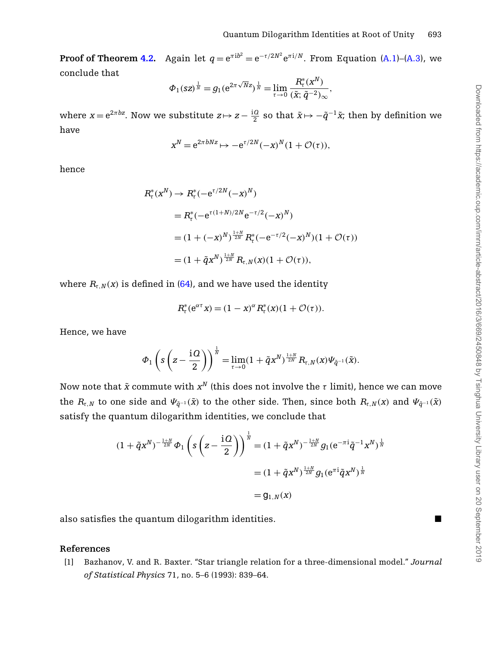**Proof of Theorem [4.2.](#page-20-0)** Again let  $q = e^{\pi i b^2} = e^{-\tau/2N^2} e^{\pi i/N}$ . From Equation [\(A.1\)](#page-22-0)–[\(A.3\)](#page-23-0), we conclude that

$$
\Phi_1(sz)^{\frac{1}{N}} = g_1(e^{2\pi\sqrt{N}z})^{\frac{1}{N}} = \lim_{\tau \to 0} \frac{R_\tau^*(x^N)}{(\tilde{x}; \tilde{q}^{-2})_\infty},
$$

where  $x = e^{2\pi bz}$ . Now we substitute  $z \mapsto z - \frac{iQ}{2}$  so that  $\tilde{x} \mapsto -\tilde{q}^{-1}\tilde{x}$ ; then by definition we have

$$
x^N = e^{2\pi bNz} \mapsto -e^{\tau/2N}(-x)^N(1+\mathcal{O}(\tau)),
$$

hence

$$
R_{\tau}^{*}(x^{N}) \rightarrow R_{\tau}^{*}(-e^{\tau/2N}(-x)^{N})
$$
  
=  $R_{\tau}^{*}(-e^{\tau(1+N)/2N}e^{-\tau/2}(-x)^{N})$   
=  $(1 + (-x)^{N})^{\frac{1+N}{2N}} R_{\tau}^{*}(-e^{-\tau/2}(-x)^{N})(1 + \mathcal{O}(\tau))$   
=  $(1 + \tilde{q}x^{N})^{\frac{1+N}{2N}} R_{\tau,N}(x)(1 + \mathcal{O}(\tau)),$ 

where  $R_{\tau,N}(x)$  is defined in [\(64\)](#page-13-4), and we have used the identity

$$
R_{\tau}^{*}(e^{\alpha \tau} x) = (1 - x)^{\alpha} R_{\tau}^{*}(x) (1 + \mathcal{O}(\tau)).
$$

Hence, we have

$$
\Phi_1\left(s\left(z-\frac{\mathrm{i} Q}{2}\right)\right)^{\frac{1}{N}}=\lim_{\tau\to 0}(1+\tilde{q}x^N)^{\frac{1+N}{2N}}R_{\tau,N}(x)\Psi_{\tilde{q}^{-1}}(\tilde{x}).
$$

Now note that  $\tilde{x}$  commute with  $x^N$  (this does not involve the  $\tau$  limit), hence we can move the  $R_{\tau,N}$  to one side and  $\Psi_{\tilde{q}^{-1}}(\tilde{x})$  to the other side. Then, since both  $R_{\tau,N}(x)$  and  $\Psi_{\tilde{q}^{-1}}(\tilde{x})$ satisfy the quantum dilogarithm identities, we conclude that

$$
(1 + \tilde{q}x^{N})^{-\frac{1+N}{2N}}\Phi_{1}\left(s\left(z - \frac{\mathrm{i} Q}{2}\right)\right)^{\frac{1}{N}} = (1 + \tilde{q}x^{N})^{-\frac{1+N}{2N}}g_{1}(e^{-\pi i}\tilde{q}^{-1}x^{N})^{\frac{1}{N}}
$$

$$
= (1 + \tilde{q}x^{N})^{\frac{1+N}{2N}}g_{1}(e^{\pi i}\tilde{q}x^{N})^{\frac{1}{N}}
$$

$$
= g_{1,N}(x)
$$

also satisfies the quantum dilogarithm identities.

# **References**

<span id="page-24-0"></span>[1] Bazhanov, V. and R. Baxter. "Star triangle relation for a three-dimensional model." *Journal of Statistical Physics* 71, no. 5–6 (1993): 839–64.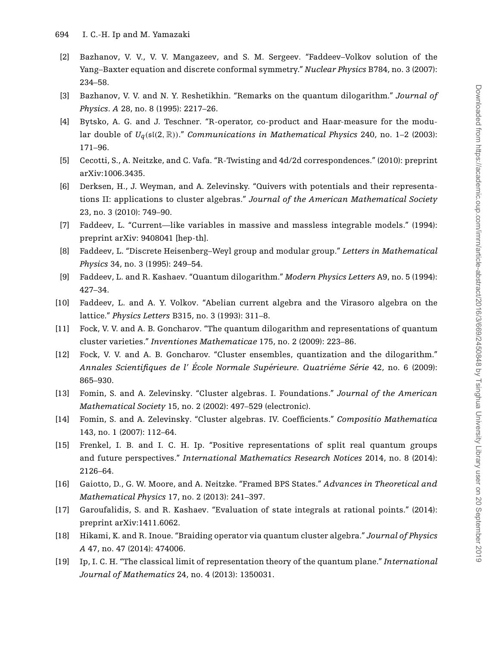- <span id="page-25-5"></span>[2] Bazhanov, V. V., V. V. Mangazeev, and S. M. Sergeev. "Faddeev–Volkov solution of the Yang–Baxter equation and discrete conformal symmetry." *Nuclear Physics* B784, no. 3 (2007): 234–58.
- <span id="page-25-11"></span>[3] Bazhanov, V. V. and N. Y. Reshetikhin. "Remarks on the quantum dilogarithm." *Journal of Physics. A* 28, no. 8 (1995): 2217–26.
- <span id="page-25-17"></span>[4] Bytsko, A. G. and J. Teschner. "R-operator, co-product and Haar-measure for the modular double of  $U_q(\mathfrak{sl}(2,\mathbb{R}))$ ." *Communications in Mathematical Physics* 240, no. 1–2 (2003): 171–96.
- <span id="page-25-7"></span>[5] Cecotti, S., A. Neitzke, and C. Vafa. "R-Twisting and 4d/2d correspondences." (2010): preprint arXiv:1006.3435.
- <span id="page-25-12"></span>[6] Derksen, H., J. Weyman, and A. Zelevinsky. "Quivers with potentials and their representations II: applications to cluster algebras." *Journal of the American Mathematical Society* 23, no. 3 (2010): 749–90.
- <span id="page-25-14"></span>[7] Faddeev, L. "Current—like variables in massive and massless integrable models." (1994): preprint arXiv: 9408041 [hep-th].
- <span id="page-25-15"></span>[8] Faddeev, L. "Discrete Heisenberg–Weyl group and modular group." *Letters in Mathematical Physics* 34, no. 3 (1995): 249–54.
- <span id="page-25-4"></span>[9] Faddeev, L. and R. Kashaev. "Quantum dilogarithm." *Modern Physics Letters* A9, no. 5 (1994): 427–34.
- <span id="page-25-13"></span>[10] Faddeev, L. and A. Y. Volkov. "Abelian current algebra and the Virasoro algebra on the lattice." *Physics Letters* B315, no. 3 (1993): 311–8.
- <span id="page-25-2"></span>[11] Fock, V. V. and A. B. Goncharov. "The quantum dilogarithm and representations of quantum cluster varieties." *Inventiones Mathematicae* 175, no. 2 (2009): 223–86.
- <span id="page-25-3"></span>[12] Fock, V. V. and A. B. Goncharov. "Cluster ensembles, quantization and the dilogarithm." *Annales Scientifiques de l' Ecole Normale Sup ´ erieure. Quatri ´ eme S ´ erie ´* 42, no. 6 (2009): 865–930.
- <span id="page-25-0"></span>[13] Fomin, S. and A. Zelevinsky. "Cluster algebras. I. Foundations." *Journal of the American Mathematical Society* 15, no. 2 (2002): 497–529 (electronic).
- <span id="page-25-1"></span>[14] Fomin, S. and A. Zelevinsky. "Cluster algebras. IV. Coefficients." *Compositio Mathematica* 143, no. 1 (2007): 112–64.
- <span id="page-25-16"></span>[15] Frenkel, I. B. and I. C. H. Ip. "Positive representations of split real quantum groups and future perspectives." *International Mathematics Research Notices* 2014, no. 8 (2014): 2126–64.
- <span id="page-25-8"></span>[16] Gaiotto, D., G. W. Moore, and A. Neitzke. "Framed BPS States." *Advances in Theoretical and Mathematical Physics* 17, no. 2 (2013): 241–397.
- <span id="page-25-9"></span>[17] Garoufalidis, S. and R. Kashaev. "Evaluation of state integrals at rational points." (2014): preprint arXiv:1411.6062.
- <span id="page-25-6"></span>[18] Hikami, K. and R. Inoue. "Braiding operator via quantum cluster algebra." *Journal of Physics A* 47, no. 47 (2014): 474006.
- <span id="page-25-10"></span>[19] Ip, I. C. H. "The classical limit of representation theory of the quantum plane." *International Journal of Mathematics* 24, no. 4 (2013): 1350031.